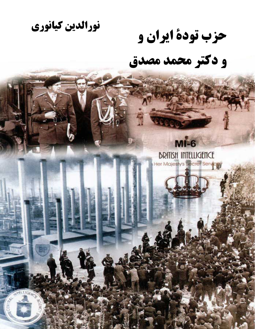نورالدين كيانوري

حزب تودة ايران و

و دکتر محمد مصدق

# **BRITISH INTELLIGENCE** Her Majesty's Secret Service

 $MI-6$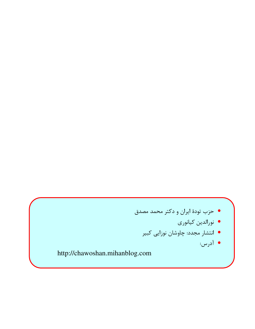- حزب تودهٔ ایران و دکتر محمد مصدق
	- نورالدين كيانوري
	- انتشار مجدد: چاوشان نوزایی کبیر
		- آدرس:

http://chawoshan.mihanblog.com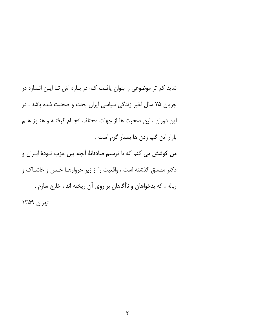شاید کم تر موضوعی را بتوان یافت کـه در بـاره اش تـا ایـن انـدازه در جریان ۲۵ سال اخیر زندگی سیاسی ایران بحث و صحبت شده باشد . در این دوران ، این صحبت ها از جهات مختلف انجـام گرفتـه و هنـوز هـم بازار اين گپ زدن ها بسيار گرم است . من كوشش مى كنم كه با ترسيم صادقانهٔ آنچه بين حزب تـودهٔ ايـران و دکتر مصدق گذشته است ، واقعیت را از زیر خروارهـا خـس و خاشـاک و زباله ، که بدخواهان و ناآگاهان بر روی آن ریخته اند ، خارج سازم . تهران ١٣۵٩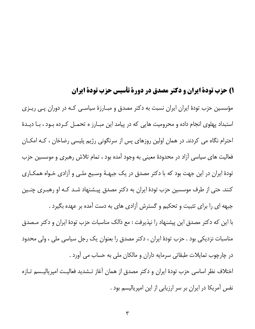# ۱) حزب تودة ايران و دكتر مصدق در دورة تأسيس حزب تودة ايران

مؤسسین حزب تودهٔ ایران ایران نسبت به دکتر مصدق و مبـارزهٔ سیاسـی کـه در دوران پـی ریـزی استبداد پهلوی انجام داده و محرومیت هایی که در پیامد این مبـارز ه تحمـل کـرده بـود ، بـا دیـدهٔ احترام نگاه می کردند. در همان اولین روزهای پس از سرنگونی رژیم پلیسی رضاخان ، کـه امکـان فعالیت های سیاسی آزاد در محدودهٔ معینی به وجود آمده بود ، تمام تلاش رهبری و موسسین حزب تودهٔ ایران در این جهت بود که با دکتر مصدق در یک جبهـهٔ وسـیع ملـی و آزادی خـواه همکـاری کنند. حتی از طرف موسسین حزب تودهٔ ایران به دکتر مصدق پیـشنهاد شـد کـه او رهبـری چنـین جبهه ای را برای تثبیت و تحکیم و گسترش آزادی های به دست آمده بر عهده بگیرد . با این که دکتر مصدق این پیشنهاد را نپذیرفت : مع ذالک مناسبات حزب تودهٔ ایران و دکتر مـصدق مناسبات نزدیکی بود . حزب تودهٔ ایران ، دکتر مصدق را بعنوان یک رجل سیاسی ملی ، ولی محدود در چارچوب تمایلات طبقاتی سرمایه داران و مالکان ملی به حساب می آورد . اختلاف نظر اساسی حزب تودهٔ ایران و دکتر مصدق از همان آغاز تـشدید فعالیـت امپریالیـسم تـازه

نفس آمریکا در ایران بر سر ارزیابی از این امپریالیسم بود .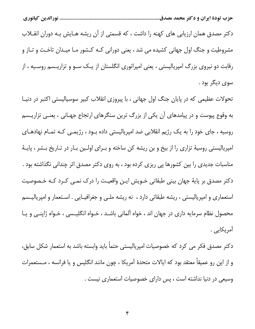دکتر مصدق همان ارزیابی های کهنه را داشت ، که قسمتی از آن ریشه هـایش بـه دوران انقــلاب مشروطیت و جنگ اول جهانی کشیده می شد ، یعنی دورانی کـه کـشور مـا میـدان تاخـت و تـاز و رقابت دو نیروی بزرگ امپریالیستی ، یعنی امپراتوری انگلستان از یــک ســو و تزاریــسم روســیه ، از سوي ديگر پود .

تحولات عظیمی که در پایان جنگ اول جهانی ، با پیروزی انقلاب کبیر سوسیالیستی اکتبر در دنیـا به وقوع پیوست و در پیامدهای آن یکی از بزرگ ترین سنگرهای ارتجاع جهـانی ، یعنــی تزاریــسم روسیه ، جای خود را به یک رژیم انقلابی ضد امپریالیستی داده بــود ، رژیمــی کـه تمــام نهادهــای امپریالیستی روسیهٔ تزاری را از بیخ و بن ریشه کن ساخته و بـرای اولـین بـار در تـاریخ بـشر ، پایـهٔ مناسبات جدیدی را بین کشورها پی ریزی کرده بود ، به روی دکتر مصدق اثر چندانی نگذاشته بود . دکتر مصدق بر پایهٔ جهان بینی طبقاتی خـویش ایـن واقعیـت را درک نمـی کـرد کـه خـصوصیت استعماری و امپریالیستی ، ریشه طبقاتی دارد ، نه ریشه ملـی و جغرافیــایی . اسـتعمار و امپریالیــسم محصول نظام سرمایه داری در جهان اند ، خواه آلمانی باشـد ، خـواه انگلیـسی ، خـواه ژاپنـی و یـا آمريکايي .

دکتر مصدق فکر می کرد که خصوصیات امپریالیستی حتماً باید وابسته باشد به استعمار شکل سابق، و از این رو عمیقاً معتقد بود که ایالات متحدهٔ آمریکا ، چون مانند انگلیس و یا فرانسه ، مـستعمرات وسیعی در دنیا نداشته است ، پس دارای خصوصیات استعماری نیست .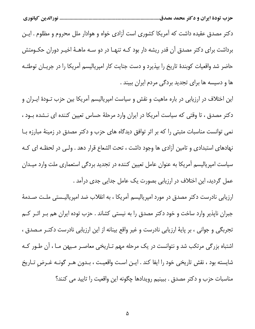دکتر مصدق عقیده داشت که آمریکا کشوری است آزادی خواه و هوادار ملل محروم و مظلوم . ایـن برداشت برای دکتر مصدق آن قدر ریشه دار بود کـه تنهـا در دو سـه ماهـهٔ اخیـر دوران حکـومتش حاضر شد واقعیات کوبندهٔ تاریخ را بپذیرد و دست جنایت کار امپریالیسم آمریکا را در جریـان توطئـه ها و دسیسه ها برای تجدید بردگی مردم ایران ببیند .

این اختلاف در ارزیابی در باره ماهیت و نقش و سیاست امپریالیسم آمریکا بین حزب تـودهٔ ایــران و دکتر مصدق ، تا وقتی که سیاست آمریکا در ایران وارد مرحلهٔ حساس تعیین کننده ای نـشده بـود ، نمی توانست مناسبات مثبتی را که بر اثر توافق دیدگاه های حزب و دکتر مصدق در زمینهٔ مبارزه با نهادهای استبدادی و تامین آزادی ها وجود داشت ، تحت الشعاع قرار دهد . ولـی در لحظـه ای کـه سیاست امپریالیسم آمریکا به عنوان عامل تعیین کننده در تجدید بردگی استعماری ملت وارد میـدان عمل گردید، این اختلاف در ارزیابی بصورت یک عامل جدایی جدی درآمد .

ارزیابی نادرست دکتر مصدق در مورد امپریالیسم آمریکا ، به انقلاب ضد امپریالیـستی ملـت صـدمهٔ جبران ناپذیر وارد ساخت و خود دکتر مصدق را به نیستی کشاند . حزب توده ایران هم بـر اثـر کـم تجربگی و جوانی ، بر پایهٔ ارزیابی نادرست و غیر واقع بینانه از این ارزیابی نادرست دکتـر مـصدق ، اشتباه بزرگی مرتکب شد و نتوانست در یک مرحله مهم تـاریخی معاصـر مـیهن مـا ، آن طـور کـه شايسته بود ، نقش تاريخي خود را ايفا كند . ايــن اسـت واقعيـت ، بــدون هــر گونــه غــرض تــاريخ مناسبات حزب و دكتر مصدق . ببينيم رويدادها چگونه اين واقعيت را تاييد مي كنند؟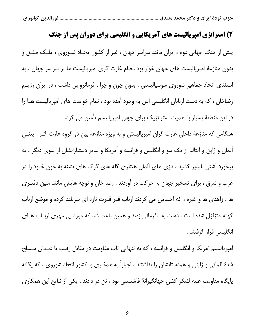## ۲) استراتژی امپریالیست های آمریکایی و انگلیسی برای دوران پس از جنگ

پیش از جنگ جهانی دوم ، ایران مانند سراسر جهان ، غیر از کشور اتحـاد شـوروی ، ملـک طلـق و بدون منازعهٔ امپریالیست های جهان خوار بود .نظام غارت گری امپریالیست ها بر سراسر جهان ، به استثنای اتحاد جماهیر شوروی سوسیالیستی ، بدون چون و چرا ، فرمانروایی داشت ، در ایران رژیـم رضاخان ، که به دست اربابان انگلیسی اش به وجود آمده بود ، تمام خواست های امپریالیست هــا را در این منطقهٔ بسیار با اهمیت استراتژیک برای جهان امپریالیسم تأمین می کرد.

هنگامی که منازعهٔ داخلی غارت گران امپریالیستی و به ویژه منازعهٔ بین دو گروه غارت گـر ، یعنـی آلمان و ژاپن و ایتالیا از یک سو و انگلیس و فرانسه و آمریکا و سایر دستیارانشان از سوی دیگر ، به برخورد آشتی ناپذیر کشید ، نازی های آلمان هیتلری گله های گرگ های تشنه به خون خـود را در غرب و شرق ، برای تسخیر جهان به حرکت در آوردند . رضا خان و نوچه هایش مانند متین دفتـری ها ، زاهدی ها و غیره ، که احساس می کردند ارباب قدر قدرت تازه ای سربلند کرده و موضع ارباب کهنه متزلزل شده است ، دست به نافرمانی زدند و همین باعث شد که مورد بی مهری اربـاب هـای انگلیسی قرار گرفتند .

امپریالیسم آمریکا و انگلیس و فرانسه ، که به تنهایی تاب مقاومت در مقابل رقیب تا دنـدان مـسلح شدهٔ آلمانی و ژاپنی و همدستانشان را نداشتند ، اجباراً به همکاری با کشور اتحاد شوروی ، که یگانه پایگاه مقاومت علیه لشکر کشی جهانگیرانهٔ فاشیستی بود ، تن در دادند . یکی از نتایج این همکاری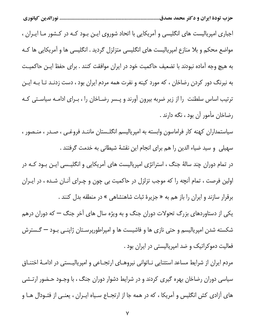اجباری امپریالیست های انگلیسی و آمریکایی با اتحاد شوروی ایـن بـود کـه در کـشور مـا ایـران ، مواضع محکم و بلا منازع امپریالیست های انگلیسی متزلزل گردید . انگلیسی ها و آمریکایی ها کـه به هیچ وجه آماده نبودند با تضعیف حاکمیت خود در ایران موافقت کنند . برای حفظ ایـن حاکمیـت به نیرنگ دور کردن رضاخان ، که مورد کینه و نفرت همه مردم ایران بود ، دست زدنـد تـا بــه ایــن ترتیب اساس سلطنت را از زیر ضربه بیرون آورند و پـسر رضـاخان را ، بـرای ادامـه سیاسـتی کـه رضاخان مأمور آن بود ، نگه دارند .

سیاستمداران کهنه کار فراماسون وابسته به امپریالیسم انگلـستان ماننـد فروغـی ، صـدر ، منـصور ، سهیلی و سید ضیاء الدین را هم برای انجام این نقشهٔ شیطانی به خدمت گرفتند .

در تمام دوران چند سالهٔ جنگ ، استراتژی امپریالیست های آمریکایی و انگلیـسی ایـن بـود کـه در اولین فرصت ، تمام آنچه را که موجب تزلزل در حاکمیت بی چون و چـرای آنـان شـده ، در ایـران برقرار سازند و ایران را باز هم به « جزیرهٔ ثبات شاهنشاهی » در منطقه بدل کنند .

یکی از دستاوردهای بزرگ تحولات دوران جنگ و به ویژه سال های آخر جنگ — که دوران درهم شکسته شدن امپریالیسم و حتی نازی ها و فاشیست ها و امپراطورپرسـتان ژاپنــی بــود — گــسترش فعالیت دموکراتیک و ضد امپریالیستی در ایران بود .

مردم ایران از شرایط مساعد استثنایی نــاتوانی نیروهــای ارتجــاعی و امپریالیــستی در ادامــهٔ اختنــاق سیاسی دوران رضاخان بهره گیری کردند و در شرایط دشوار دوران جنگ ، با وجـود حـضور ارتـشی های آزادی کش انگلیس و آمریکا ، که در همه جا از ارتجـاع سـیاه ایـران ، یعنـی از فئـودال هـا و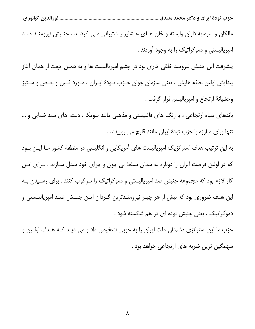................................. نورالدين كيانوري

مالکان و سرمایه داران وابسته و خان هـای عـشایر پـشتیبانی مـی کردنـد ، جنـبش نیرومنـد ضـد امپریالیستی و دموکراتیک را به وجود آوردند .

پیشرفت این جنبش نیرومند خلقی خاری بود در چشم امپریالیست ها و به همین جهت از همان آغاز پيدايش اولين نطفه هايش ، يعني سازمان جوان حـزب تـودهٔ ايـران ، مـورد كـين و بغـض و سـتيز وحشيانهٔ ارتجاع و امپرياليسم قرار گرفت .

باندهای سیاه ارتجاعی ، با رنگ های فاشیستی و مذهبی مانند سومکا ، دسته های سید ضیایی و … تنها برای مبارزه با حزب تودهٔ ایران مانند قارچ می روییدند .

به این ترتیب هدف استراتژیک امپریالیست های آمریکایی و انگلیسی در منطقهٔ کشور مـا ایـن بـود که در اولین فرصت ایران را دوباره به میدان تسلط بی چون و چرای خود مبدل سـازند . بـرای ایـن کار لازم بود که مجموعه جنبش ضد امپریالیستی و دموکراتیک را سرکوب کنند . برای رسـیدن بـه این هدف ضروری بود که بیش از هر چیـز نیرومنـدترین گـردان ایـن جنـبش ضـد امپریالیـستی و دموکراتیک ، یعنی جنبش توده ای در هم شکسته شود .

حزب ما این استراتژی دشمنان ملت ایران را به خوبی تشخیص داد و می دیـد کـه هـدف اولـین و سهمگین ترین ضربه های ارتجاعی خواهد بود .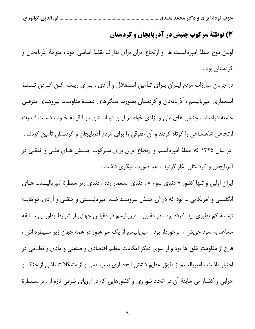...... نورالدين كيانوري

# 3) توطئة سركوب جنبش در آذربایجان و كردستان

اولین موج حملهٔ امپریالیست ها و ارتجاع ایران برای تدارک نقشهٔ اساسی خود ، متوجهٔ آذربایجان و کردستان بود .

در جریان مبارزات مردم ایـران بـرای تـأمین اسـتقلال و آزادی ، بـرای ریـشه کـن کـردن تـسلط استعماری امپریالیسم ، آذربایجان و کردستان بصورت سنگرهای عمـدهٔ مقاومـت نیروهـای مترقـی جامعه درآمدند . جنبش های ملی و آزادی خواه در ایـن دو اسـتان ، بـا قیـام خـود ، دسـت قـدرت ارتجاعی شاهنشاهی را کوتاه کردند و آن حقوقی را برای مردم آذربایجان و کردستان تأمین کردند . در سال ۱۳۲۵ که حملهٔ امپریالیسم و ارتجاع ایران برای سـرکوب جنـبش هـای ملـی و خلقـی در آذربایجان و کردستان آغاز گردید ، دنیا صورت دیگری داشت .

ایران اولین و تنها کشور « دنیای سوم » ، دنیای استعمار زده ، دنیای زیر سیطرهٔ امپریالیـست هـای انگلیسی و آمریکایی … بود که در آن جنبش نیرومنـد ضـد امپریالیـستی و خلقـی و آزادی خواهانـه توسعهٔ کم نظیری پیدا کرده بود . در مقابل ، امپریالیسم در مقیاس جهانی از شرایط بطور بی سـابقه مساعد به سود خویش ، برخوردار بود . امپریالیسم از یک سو هنوز در همهٔ جهان زیر سـیطره اش ، فارغ از مقاومت خلق ها بود و از سوی دیگر امکانات عظیم اقتصادی و صنعتی و مادی و نظـامی در اختیار داشت . امپریالیسم از تفوق عظیم داشتن انحصاری بمب اتمی و از مشکلات ناشی از جنگ و خرابی و کشتار بی سابقهٔ آن در اتحاد شوروی و کشورهایی که در اروپای شرقی تازه از زیر سـیطرهٔ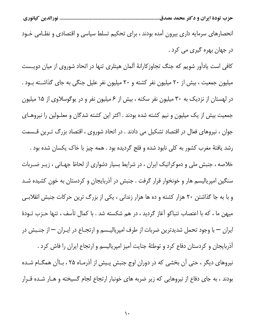انحصارهای سرمایه داری بیرون آمده بودند ، برای تحکیم تسلط سیاسی و اقتصادی و نظـامی خـود در جهان بهره گیری می کرد .

کافی است یادآور شویم که جنگ تجاوزکارانهٔ آلمان هیتلری تنها در اتحاد شوروی از میان دویست میلیون جمعیت ، بیش از ۲۰ میلیون نفر کشته و ۲۰ میلیون نفر علیل جنگی به جای گذاشـته بـود . در لهستان از نزدیک به ۳۰ میلیون نفر سکنه ، بیش از ۶ میلیون نفر و در یوگوسلاوی از ۱۵ میلیون جمعیت بیش از یک میلیون و نیم کشته شده بودند . اکثر این کشته شدگان و معلـولین را نیروهـای جوان ، نیروهای فعال در اقتصاد تشکیل می دادند . در اتحاد شوروی ، اقتصاد بزرگ تـرین قـسمت رشد یافتهٔ مغرب کشور به کلی نابود شده و فلج گردیده بود . همه چیز با خاک یکسان شده بود . خلاصه ، جنبش ملی و دموکراتیک ایران ، در شرایط بسیار دشواری از لحاظ جهـانی ، زیـر ضـربات سنگین امپریالیسم هار و خونخوار قرار گرفت . جنبش در آذربایجان و کردستان به خون کشیده شـد و با به جا گذاشتن ۲۰ هزار کشته و ده ها هزار زندانی ، یکی از بزرگ ترین حرکات جنبش انقلابـی میهن ما ، که با اعتصاب تنباکو آغاز گردید ، در هم شکسته شد . با کمال تأسف ، تنها حـزب تــودهٔ ایران — با وجود تحمل شدیدترین ضربات از طرف امپریالیـسم و ارتجـاع در ایــران — از جنــبش در

آذربایجان و کردستان دفاع کرد و توطئهٔ جنایت آمیز امپریالیسم و ارتجاع ایران را فاش کرد . نیروهای دیگر ، حتی آن بخشی که در دوران اوج جنبش پیش از آذرمـاه ۲۵ ، بـاآن همگـام شـده بودند ، به جای دفاع از نیروهایی که زیر ضربه های خونبار ارتجاع لجام گسیخته و هـار شـده قـرار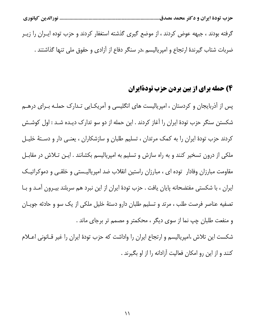............................ نورالدين كيانوري

گرفته بودند ، جبهه عوض کردند ، از موضع گیری گذشته استغفار کردند و حزب توده ایـران را زیـر ضربات شتاب گیرندهٔ ارتجاع و امیریالیسم ،در سنگر دفاع از آزادی و حقوق ملی تنها گذاشتند .

# 4) حمله برای از بین بردن حزب تودةایران

پس از آذربایجان و کردستان ، امپریالیست های انگلیسی و آمریکـایی تـدارک حملـه بـرای درهـم شکستن سنگر حزب تودهٔ ایران را آغاز کردند . این حمله از دو سو تدارک دیـده شـد : اول کوشـش کردند حزب تودهٔ ایران را به کمک مرتدان ، تسلیم طلبان و سازشکاران ، یعنـی دار و دسـتهٔ خلیـل ملکی از درون تسخیر کنند و به راه سازش و تسلیم به امپریالیسم بکشانند . ایـن تـلاش در مقابـل مقاومت مبارزان وفادار توده ای ، مبارزان راستین انقلاب ضد امپریالیـستی و خلقـی و دموکراتیـک ایران ، با شکستی مفتضحانه پایان یافت . حزب تودهٔ ایران از این نبرد هم سربلند بیـرون آمـد و بـا تصفیه عناصر فرصت طلب ، مرتد و تسلیم طلبان دارو دستهٔ خلیل ملکی از یک سو و حادثه جویـان و منفعت طلبان چپ نما از سوی دیگر ، محکمتر و مصمم تر برجای ماند .

شکست این تلاش ،امپریالیسم و ارتجاع ایران را واداشت که حزب تودهٔ ایران را غیر قــانونی اعــلام کنند و از این رو امکان فعالیت آزادانه را از او بگیرند .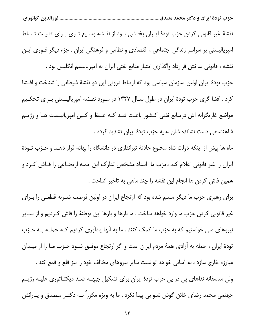نقشهٔ غیر قانونی کردن حزب تودهٔ ایـران بخـشی بـود از نقـشه وسـیع تـری بـرای تثبیـت تـسلط امپریالیستی بر سراسر زندگی اجتماعی ، اقتصادی و نظامی و فرهنگی ایران . جزء دیگر فـوری ایـن نقشه ، قانونی ساختن قرارداد واگذاری امتیاز منابع نفتی ایران به امپریالیسم انگلیس بود .

حزب تودهٔ ایران اولین سازمان سیاسی بود که ارتباط درونی این دو نقشهٔ شیطانی را شناخت و افــشا کرد . افشا گری حزب تودهٔ ایران در طول سـال ۱۳۲۷ در مـورد نقـشه امپریالیـستی بـرای تحکـیم مواضع غارتگرانه اش درمنابع نفتی کشور باعث شد کـه غـیظ و کـین امپریالیـست هـا و رژیـم شاهنشاهی دست نشانده شان علیه حزب تودهٔ ایران تشدید گردد .

ماه ها پیش از اینکه دولت شاه مخلوع حادثهٔ تیراندازی در دانشگاه را بهانه قرار دهـد و حـزب تـودهٔ ایران را غیر قانونی اعلام کند ،حزب ما اسناد مشخص تدارک این حمله ارتجـاعی را فـاش کـرد و همین فاش کردن ها انجام این نقشه را چند ماهی به تاخیر انداخت .

برای رهبری حزب ما دیگر مسلم شده بود که ارتجاع ایران در اولین فرصت ضـربه قطعـی را بـرای غیر قانونی کردن حزب ما وارد خواهد ساخت . ما بارها و بارها این توطئهٔ را فاش کـردیم و از سـایر نیروهای ملی خواستیم که به حزب ما کمک کنند . ما به آنها یادآوری کردیم کـه حملـه بـه حـزب تودهٔ ایران ، حمله به آزادی همهٔ مردم ایران است و اگر ارتجاع موفـق شـود حـزب مـا را از میـدان مبارزه خارج سازد ، به آسانی خواهد توانست سایر نیروهای مخالف خود را نیز قلع و قمع کند . ولی متاسفانه نداهای پی در پی حزب تودهٔ ایران برای تشکیل جبهـه ضـد دیکتـاتوری علیـه رژیـم جهنمی محمد رضای خائن گوش شنوایی پیدا نکرد . ما به ویژه مکرراً بـه دکتـر مـصدق و یــارانش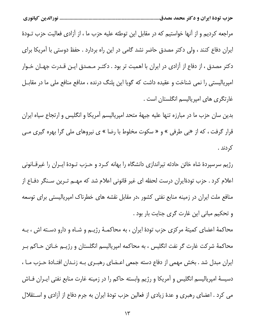مراجعه کردیم و از آنها خواستیم که در مقابل این توطئه علیه حزب ما ، از آزادی فعالیت حزب تــودهٔ ایران دفاع کنند ، ولی دکتر مصدق حاضر نشد گامی در این راه بردارد . حفظ دوستی با آمریکا برای دکتر مصدق ، از دفاع از آزادی در ایران با اهمیت تر بود . دکتـر مـصدق ایـن قـدرت جهـان خـوار امپریالیستی را نمی شناخت و عقیده داشت که گویا این پلنگ درنده ، مدافع منافع ملی ما در مقابـل غارتگری های امپریالیسم انگلستان است .

بدین سان حزب ما در مبارزه تنها علیه جبههٔ متحد امپریالیسم آمریکا و انگلیس و ارتجاع سیاه ایران قرار گرفت ، که از «بی طرفی » و « سکوت مخلوط با رضا » ی نیروهای ملی گرا بهره گیری مـی کردند .

رژیم سرسپردهٔ شاه خائن حادثه تیراندازی دانشگاه را بهانه کـرد و حـزب تـودهٔ ایـران را غیرقــانونی اعلام کرد . حزب تودهٔایران درست لحظه ای غیر قانونی اعلام شد که مهــم تــرین ســنگر دفــاع از منافع ملت ایران در زمینه منابع نفتی کشور ،در مقابل نقشه های خطرناک امپریالیستی برای توسعه و تحکیم مبانی این غارت گری جنایت بار بود .

محاکمهٔ اعضای کمیتهٔ مرکزی حزب تودهٔ ایران ، به محاکمـهٔ رژیـم و شـاه و دارو دسـته اش ، بـه محاکمهٔ شرکت غارت گر نفت انگلیس ، به محاکمه امپریالیسم انگلستان و رژیــم خــائن حــاکم بــر ایران مبدل شد . بخش مهمی از دفاع دسته جمعی اعـضای رهبـری بــه زنــدان افتــادهٔ حــزب مــا ، دسیسهٔ امپریالیسم انگلیس و آمریکا و رژیم وابسته حاکم را در زمینه غارت منابع نفتی ایــران فــاش می کرد . اعضای رهبری و عدهٔ زیادی از فعالین حزب تودهٔ ایران به جرم دفاع از آزادی و اسـتقلال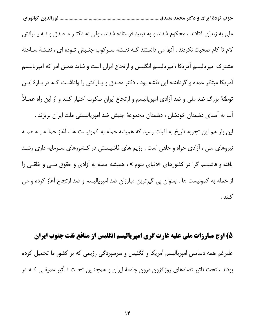ملی به زندان افتادند ، محکوم شدند و به تبعید فرستاده شدند ، ولی نه دکتـر مـصدق و نــه یــارانش لام تا کام صحبت نکردند . آنها می دانستند کـه نقـشه سـرکوب جنـبش تـوده ای ، نقـشهٔ سـاختهٔ مشترک امپریالیسم آمریکا ،امپریالیسم انگلیس و ارتجاع ایران است و شاید همین امر که امپریالیسم آمریکا مبتکر عمده و گرداننده این نقشه بود ، دکتر مصدق و یـارانش را واداشـت کـه در بـارهٔ ایـن توطئهٔ بزرگ ضد ملی و ضد آزادی امپریالیسم و ارتجاع ایران سکوت اختیار کنند و از این راه عمـلاً آب به آسیای دشمنان خودشان ، دشمنان مجموعهٔ جنبش ضد امپریالیستی ملت ایران بریزند . این بار هم این تجربه تاریخ به اثبات رسید که همیشه حمله به کمونیست ها ، آغاز حملـه بـه همـه نیروهای ملی ، آزادی خواه و خلقی است . رژیم های فاشیـستی در کـشورهای سـرمایه داری رشـد یافته و فاشیسم گرا در کشورهای «دنیای سوم » ، همیشه حمله به آزادی و حقوق ملـی و خلقـی را از حمله به کمونیست ها ، بعنوان پی گیرترین مبارزان ضد امپریالیسم و ضد ارتجاع آغاز کرده و می كنند .

۵) اوج مبارزات ملی علیه غارت گری امیریالیسم انگلیس از منافع نفت جنوب ایران علیرغم همه دسایس امپریالیسم آمریکا و انگلیس و سرسپردگی رژیمی که بر کشور ما تحمیل کرده بودند ، تحت تاثیر تضادهای روزافزون درون جامعهٔ ایران و همچنـین تحـت تـأثیر عمیقـی کـه در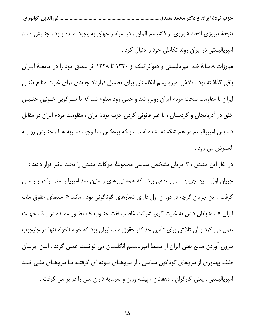نتیجهٔ پیروزی اتحاد شوروی بر فاشیسم آلمان ، در سراسر جهان به وجود آمـده بـود ، جنـبش ضـد امپریالیستی در ایران روند تکاملی خود را دنبال کرد .

مبارزات ۸ سالهٔ ضد امپریالیستی و دموکراتیک از ۱۳۲۰ تا ۱۳۲۸ اثر عمیق خود را در جامعـهٔ ایــران باقی گذاشته بود . تلاش امپریالیسم انگلستان برای تحمیل قرارداد جدیدی برای غارت منابع نفتـی ایران با مقاومت سخت مردم ایران روبرو شد و خیلی زود معلوم شد که با سـرکوبی خـونین جنـبش خلق در آذربایجان و کردستان ، با غیر قانونی کردن حزب تودهٔ ایران ، مقاومت مردم ایران در مقابل دسایس امپریالیسم در هم شکسته نشده است ، بلکه برعکس ، با وجود ضـربه هـا ، جنـبش رو بـه گسترش می رود .

در آغاز این جنبش ، ۳ جریان مشخص سیاسی مجموعهٔ حرکات جنبش را تحت تاثیر قرار دادند : جریان اول ، این جریان ملی و خلقی بود ، که همهٔ نیروهای راستین ضد امپریالیـستی را در بــر مــی گرفت . این جریان گرچه در دوران اول دارای شعارهای گوناگونی بود ، مانند « استیفای حقوق ملت ایران » ، « پایان دادن به غارت گری شرکت غاصب نفت جنـوب » ، بطـور عمـده در یـک جهـت عمل می کرد و آن تلاش برای تأمین حداکثر حقوق ملت ایران بود که خواه ناخواه تنها در چارچوب بیرون آوردن منابع نفتی ایران از تسلط امپریالیسم انگلستان می توانست عملی گردد . ایـن جریـان طیف پهناوری از نیروهای گوناگون سیاسی ، از نیروهـای تـوده ای گرفتـه تـا نیروهـای ملـی ضـد امپریالیستی ، یعنی کارگران ، دهقانان ، پیشه وران و سرمایه داران ملی را در بر می گرفت .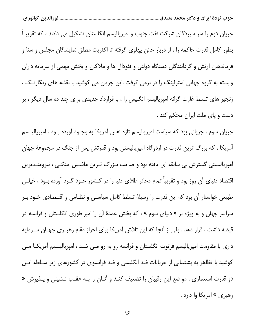جریان دوم را سر سپردگان شرکت نفت جنوب و امپریالیسم انگلستان تشکیل می دادند ، که تقریبـاً بطور کامل قدرت حاکمه را ، از دربار خائن پهلوی گرفته تا اکثریت مطلق نمایندگان مجلس و سنا و فرماندهان ارتش و گردانندگان دستگاه دولتی و فئودال ها و ملاکان و بخش مهمی از سرمایه داران وابسته به گروه جهانی استرلینگ را در برمی گرفت .این جریان می کوشید با نقشه های رنگارنگ ، زنجیر های تسلط غارت گرانه امپریالیسم انگلیس را ، با قرارداد جدیدی برای چند ده سال دیگر ، بر دست و پای ملت ایران محکم کند .

جریان سوم ، جریانی بود که سیاست امپریالیسم تازه نفس آمریکا به وجـود آورده بـود . امپریالیــسم آمریکا ، که بزرگ ترین قدرت در اردوگاه امپریالیستی بود و قدرتش پس از جنگ در مجموعهٔ جهان امپریالیستی گسترش بی سابقه ای یافته بود و صاحب بـزرگ تـرین ماشـین جنگـی ، نیرومنـدترین اقتصاد دنیای آن روز بود و تقریباً تمام ذخائر طلای دنیا را در کـشور خـود گـرد آورده بـود ، خیلـی طبیعی خواستار آن بود که این قدرت را وسیلهٔ تسلط کامل سیاسـی و نظـامی و اقتـصادی خـود بـر سراسر جهان و به ویژه بر « دنیای سوم » ، که بخش عمدهٔ آن را امپراطوری انگلستان و فرانسه در قبضه داشت ، قرار دهد . ولي از آنجا كه اين تلاش آمريكا براي احراز مقام رهبـري جهـان سـرمايه داری با مقاومت امپریالیسم فرتوت انگلستان و فرانسه رو به رو مـی شـد ، امپریالیـسم آمریکــا مـی کوشید با تظاهر به پشتیبانی از جریانات ضد انگلیسی و ضد فرانسوی در کشورهای زیر سـلطه ایـن دو قدرت استعماری ، مواضع این رقیبان را تضعیف کنـد و آنـان را بـه عقـب نـشینی و پـذیرش « رهبري » امريکا وا دارد .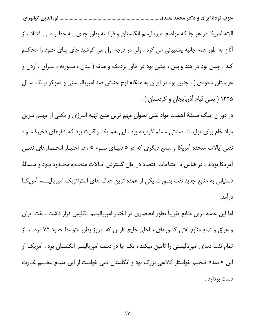البته آمریکا در هر جا که مواضع امپریالیسم انگلستان و فرانسه بطور جدی بـه خطـر مـی افتـاد ، از آنان به طور همه جانبه پشتیبانی می کرد . ولی در درجه اول می کوشید جای پـای خـود را محکـم کند . چنین بود در هند وچین ، چنین بود در خاور نزدیک و میانه ( لبنان ، سـوریه ، عـراق ، اردن و عربستان سعودی ) ، چنین بود در ایران به هنگام اوج جنبش ضد امیریالیـستی و دموکراتیـک سـال ۱۳۲۵ ( یعنی قیام آذربایجان و کردستان ) .

در دوران جنگ مسئلهٔ اهمیت مواد نفتی بعنوان مهم ترین منبع تهیه انـرژی و یکـی از مهــم تـرین مواد خام برای تولیدات صنعتی مسلم گردیده بود . این هم یک واقعیت بود که انبارهای ذخیرهٔ مـواد نفتی ایالات متحده آمریکا و منابع دیگری که در « دنیـای سـوم » ، در اختیـار انحـصارهای نفتـی آمریکا بودند ، در قیاس با احتیاجات اقتصاد در حال گسترش ایـالات متحـده محـدود بــود و مــسالهٔ دستیابی به منابع جدید نفت بصورت یکی از عمده ترین هدف های استراتژیک امپریالیـسم آمریکـا د, اًمد.

اما این عمده ترین منابع تقریباً بطور انحصاری در اختیار امپریالیسم انگلیس قرار داشت . نفت ایران و عراق و تمام منابع نفتی کشورهای ساحلی خلیج فارس که امروز بطور متوسط حدود ۷۵ درصـد از تمام نفت دنیای امپریالیستی را تأمین میکند ، یک جا در دست امپریالیسم انگلستان بود . آمریکــا از این « نمد» ضخیم خواستار کلاهی بزرگ بود و انگلستان نمی خواست از این منبـع عظـیم غـارت دست بردارد .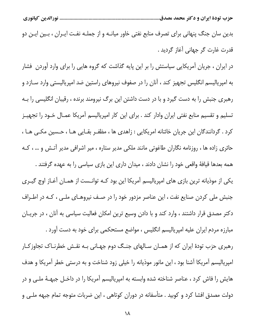بدین سان جنگ پنهانی برای تصرف منابع نفتی خاور میانـه و از جملـه نفـت ایـران ، بـین ایـن دو قدرت غارت گر جهانی آغاز گردید .

در ایران ، جریان آمریکایی سیاستش را بر این پایه گذاشت که گروه هایی را برای وارد آوردن ِ فشار به امپریالیسم انگلیس تجهیز کند ، آنان را در صفوف نیروهای راستین ضد امپریالیستی وارد سـازد و رهبری جنبش را به دست گیرد و با در دست داشتن این برگ نیرومند برنده ، رقیبان انگلیسی را بـه تسلیم و تقسیم منابع نفتی ایران وادار کند . برای این کار امپریالیسم آمریکا عمـال خـود را تجهیـز کرد . گردانندگان این جریان خائنانه امریکایی : زاهدی ها ، مظفـر بقـایی هـا ، حـسین مکـی هـا ، حائری زاده ها ، روزنامه نگاران طاغوتی مانند ملکی مدیر ستاره ، میر اشرافی مدیر آتـش و … ، کـه همه بعدها قيافهٔ واقعي خود را نشان دادند ، ميدان داري اين بازي سياسي را به عهده گرفتند .

یکی از موذیانه ترین بازی های امپریالیسم آمریکا این بود کـه توانـست از همـان آغـاز اوج گیـری جنبش ملی کردن صنایع نفت ، این عناصر مزدور خود را در صـف نیروهـای ملـی ، کـه در اطـراف دکتر مصدق قرار داشتند ، وارد کند و با دادن وسیع ترین امکان فعالیت سیاسی به آنان ، در جریـان مبارزه مردم ایران علیه امپریالیسم انگلیس ، مواضع مستحکمی برای خود به دست آورد .

رهبری حزب تودهٔ ایران که از همـان سـالهای جنـگ دوم جهـانی بـه نقـش خطرنـاک تجاوزکـار امپریالیسم آمریکا آشنا بود ، این مانور موذیانه را خیلی زود شناخت و به درستی خطر آمریکا و هدف هایش را فاش کرد ، عناصر شناخته شده وابسته به امپریالیسم آمریکا را در داخـل جبهــهٔ ملــی و در دولت مصدق افشا کرد و کوبید . متأسفانه در دوران کوتاهی ، این ضربات متوجه تمام جبهه ملـی و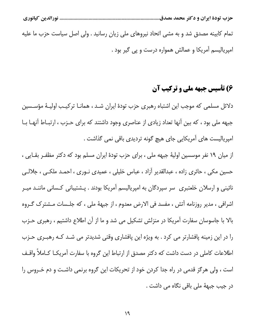........................... نورالدين كيانوري

تمام کابینه مصدق شد و به مشی اتحاد نیروهای ملی زیان رسانید . ولی اصل سیاست حزب ما علیه امپریالیسم آمریکا و عمالش همواره درست و پی گیر بود .

# ۶) تأسیس جبهه ملی و ترکیب آن

دلائل مسلمی که موجب این اشتباه رهبری حزب تودهٔ ایران شـد ، همانـا ترکیـب اولیـهٔ مؤسـسین جبهه ملی بود ، که بین آنها تعداد زیادی از عناصری وجود داشتند که برای حـزب ، ارتبـاط آنهـا بـا امپریالیست های آمریکایی جای هیچ گونه تردیدی باقی نمی گذاشت .

از میان ۱۹ نفر موسسین اولیهٔ جبهه ملی ، برای حزب تودهٔ ایران مسلم بود که دکتر مظفـر بقـایی ، حسین مکی ، حائری زاده ، عبدالقدیر آزاد ، عباس خلیلی ، عمیدی نــوری ، احمــد ملکــی ، جلالــی نائینی و ارسلان خلعتبری سر سپردگان به امپریالیسم آمریکا بودند . پـشتیبانی کـسانی ماننــد میــر اشرافی ، مدیر روزنامه آتش ، مفسد فی الارض معدوم ، از جبههٔ ملی ، که جلـسات مـشترک گـروه بالا با جاسوسان سفارت آمریکا در منزلش تشکیل می شد و ما از آن اطلاع داشتیم ، رهبری حـزب را در این زمینه پافشارتر می کرد . به ویژه این پافشاری وقتی شدیدتر می شـد کـه رهبـری حـزب اطلاعات كاملي در دست داشت كه دكتر مصدق از ارتباط اين گروه با سفارت آمريكــا كــاملاً واقــف است ، ولی هرگز قدمی در راه جدا کردن خود از تحریکات این گروه برنمی داشت و دم خـروس را در جیب جبههٔ ملی باقی نگاه می داشت .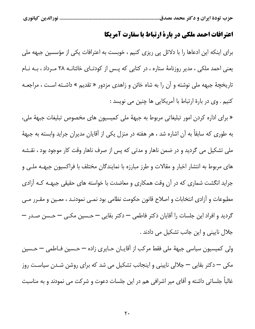...... نورالدين كيانوري

#### اعترافات احمد ملکی در بارة ارتباط با سفارت آمریکا

برای اینکه این ادعاها را با دلائل پی ریزی کنیم ، خوبست به اعترافات یکی از مؤسسین جبهه ملی یعنی احمد ملکی ، مدیر روزنامهٔ ستاره ، در کتابی که پس از کودتـای خائنانـه ۲۸ مـرداد ، بـه نـام تاریخچهٔ جبهه ملی نوشته و آن را به شاه خائن و زاهدی مزدور « تقدیم » داشـته اسـت ، مراجعـه كنيم . وى در بارة ارتباط با آمريكايي ها چنين مى نويسد :

« برای اداره کردن امور تبلیغاتی مربوط به جبههٔ ملی کمیسیون های مخصوص تبلیغات جبههٔ ملی، به طوری که سابقاً به آن اشاره شد ، هر هفته در منزل یکی از آقایان مدیران جراید وابسته به جبههٔ ملی تشکیل می گردید و در ضمن ناهار و مدتی که پس از صرف ناهار وقت کار موجود بود ، نقـشه های مربوط به انتشار اخبار و مقالات و طرز مبارزه با نمایندگان مختلف با فراکسیون جبهــه ملــی و جراید انگشت شماری که در آن وقت همکاری و معاضدت با خواسته های حقیقی جبهــه کـه آزادی مطبوعات و آزادی انتخابات و اصلاح قانون حکومت نظامی بود نمــی نمودنــد ، معـين و مقــرر مــی گردید و افراد این جلسات را آقایان دکتر فاطمی — دکتر بقایی — حسین مکـی — حـسن صـدر — جلال نایینی و این جانب تشکیل می دادند .

ولي كميسيون سياسي جبههٔ ملي فقط مركب از آقايـان حـايري زاده — حـسين فـاطمي — حـسين مکی — دکتر بقایی — جلالی نایینی و اینجانب تشکیل می شد که برای روشن شـدن سیاسـت روز غالباً جلساتی داشته و آقای میر اشرافی هم در این جلسات دعوت و شرکت می نمودند و به مناسبت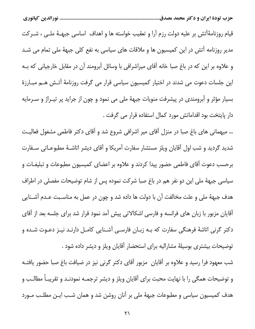قیام روزنامهٔآتش بر علیه دولت رزم آرا و تعقیب خواسته ها و اهداف اساسی جبهـهٔ ملـی ، شــرکت مدیر روزنامه آتش در این کمیسیون ها و ملاقات های سیاسی به نفع کلی جبههٔ ملی تمام می شـد و علاوه بر این که در باغ صبا خانه آقای میراشرافی با وسائل آبرومند آن در مقابل خارجیانی که بـه این جلسات دعوت می شدند در اختیار کمیسیون سیاسی قرار می گرفت روزنامهٔ آتـش هـم مبــارزهٔ بسیار مؤثر و أبرومندی در پیشرفت منویات جبههٔ ملی می نمود و چون از جراید پر تیــراژ و ســرمایه دار پایتخت بود اقداماتش مورد کمال استفاده قرار می گرفت .

... میهمانی های باغ صبا در منزل آقای میر اشرافی شروع شد و آقای دکتر فاطمی مشغول فعالیت شدید گردید و شب اول آقایان ویلز مستشار سفارت آمریکا و آقای دیشر اتاشـهٔ مطبوعـاتی سـفارت برحسب دعوت آقای فاطمی حضور پیدا کردند و علاوه بر اعضای کمیسیون مطبوعات و تبلیغـات و سیاسی جبههٔ ملی این دو نفر هم در باغ صبا شرکت نموده پس از شام توضیحات مفصلی در اطراف هدف جبههٔ ملی و علت مخالفت آن با دولت ها داده شد و چون در عمل به مناسـبت عـدم آشــنایی آقایان مزبور با زبان های فرانسه و فارسی اشکالاتی پیش آمد نمود قرار شد برای جلسه بعد از آقای دکتر گرنی اتاشهٔ فرهنگی سفارت که بـه زبـان فارسـی آشـنایی کامـل دارنـد نیـز دعـوت شـده و توضیحات بیشتری بوسیلهٔ مشارالیه برای استحضار آقایان ویلز و دیشر داده شود .

شب معهود فرا رسید و علاوه بر آقایان ِ مزبور آقای دکتر گرنی نیز در ضیافت باغ صبا حضور یافتـه و توضیحات همگی را با نهایت محبت برای آقایان ویلز و دیشر ترجمـه نمودنـد و تقریبـاً مطالـب و هدف کمیسیون سیاسی و مطبوعات جبههٔ ملی بر آنان روشن شد و همان شـب ایـن مطلـب مـورد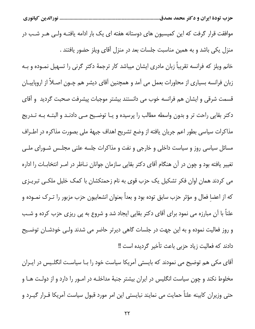موافقت قرار گرفت که این کمیسیون های دوستانه هفته ای یک بار ادامه یافتـه ولـی هــر شــب در منزل یکی باشد و به همین مناسبت جلسات بعد در منزل آقای ویلز حضور یافتند . خانم ویلز که فرانسه تقریباً زبان مادری ایشان میباشد کار ترجمهٔ دکتر گرنی را تسهیل نمـوده و بـه زبان فرانسه بسیاری از محاورات بعمل می آمد و همچنین آقای دیشر هم چـون اصـلاً از اروپاییـان قسمت شرقی و ایشان هم فرانسه خوب می دانستند بیشتر موجبات پیشرفت صحبت گردید و أقای دکتر بقایی راحت تر و بدون واسطه مطالب را پرسیده و یـا توضـیح مـی دادنـد و البتـه بـه تـدریج مذاکرات سیاسی بطور اعم جریان یافته از وضع تشریح اهداف جبههٔ ملی بصورت مذاکره در اطـراف مسائل سیاسی روز و سیاست داخلی و خارجی و نفت و مذاکرات جلسه علنی مجلـس شـورای ملـی تغییر یافته بود و چون در آن هنگام آقای دکتر بقایی سازمان جوانان نـاظر در امـر انتخابـات را اداره می کردند همان اوان فکر تشکیل یک حزب قوی به نام زحمتکشان با کمک خلیل ملکـی تبریـزی که از اعضا فعال و مؤثر حزب سابق توده بود و بعداً بعنوان انشعابیون حزب مزبور را تــرک نمــوده و علناً با آن مبارزه می نمود برای آقای دکتر بقایی ایجاد شد و شروع به پی ریزی حزب کرده و شـب و روز فعالیت نموده و به این جهت در جلسات گاهی دیرتر حاضر می شدند ولـی خودشـان توضـیح دادند كه فعاليت زياد حزبي باعث تأخير گرديده است !!

آقای مکی هم توضیح می نمودند که بایستی آمریکا سیاست خود را بـا سیاسـت انگلـیس در ایـران مخلوط نکند و چون سیاست انگلیس در ایران بیشتر جنبهٔ مداخلـه در امــور را دارد و از دولـت هــا و حتی وزیران کابینه علناً حمایت می نمایند نبایستی این امر مورد قبول سیاست آمریکا قــرار گیــرد و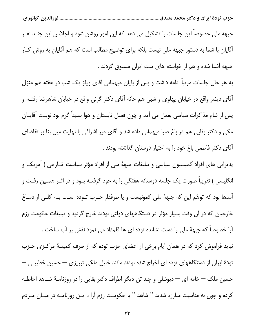جبهه ملی خصوصاً این جلسات را تشکیل می دهد که این امور روشن شود و اجلاس این چنــد نفــر آقایان با شما به دستور جبهه ملی نیست بلکه برای توضیح مطالب است که هم آقایان به روش کـار جبهه آشنا شده و هم از خواسته های ملت ایران مسبوق گردند .

به هر حال جلسات مرتباً ادامه داشت و پس از پایان میهمانی آقای ویلز یک شب در هفته هم منزل آقای دیشر واقع در خیابان پهلوی و شبی هم خانه آقای دکتر گرنی واقع در خیابان شاهرضا رفتـه و پس از شام مذاکرات سیاسی بعمل می آمد و چون فصل تابستان و هوا نسبتاً گرم بود نوبت آقایـان مکی و دکتر بقایی هم در باغ صبا میهمانی داده شد و آقای میر اشرافی با نهایت میل بنا بر تقاضای آقای دکتر فاطمی باغ خود را به اختیار دوستان گذاشته بودند .

پذیرایی های افراد کمیسیون سیاسی و تبلیغات جبههٔ ملی از افراد مؤثر سیاست خـارجی ( آمریکـا و انگلیسی ) تقریباً صورت یک جلسه دوستانه هفتگی را به خود گرفتـه بــود و در اثــر همــین رفـت و آمدها بود که توهّم این که جبههٔ ملی کمونیست و یا طرفدار حـزب تـوده اسـت بـه کلـی از دمـاغ خارجیان که در آن وقت بسیار مؤثر در دستگاههای دولتی بودند خارج گردید و تبلیغات حکومت رزم آرا خصوصاً که جبههٔ ملی را دست نشانده توده ای ها قلمداد می نمود نقش بر آب ساخت .

نباید فراموش کرد که در همان ایام برخی از اعضای حزب توده که از طرف کمیتـهٔ مرکـزی حـزب تودهٔ ایران از دستگاههای توده ای اخراج شده بودند مانند خلیل ملکی تبریزی — حسین خطیبی — حسین ملک — خامه ای — دیوشلی و چند تن دیگر اطراف دکتر بقایی را در روزنامـهٔ شـاهد احاطـه کرده و چون به مناسبت مبارزه شدید " شاهد " با حکومت رزم آرا ، ایـن روزنامـه در میـان مـردم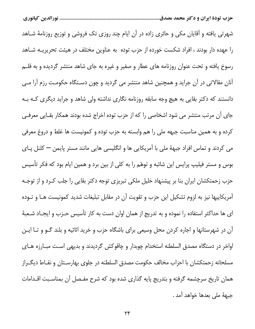شهرتی یافته و آقایان مکی و حائری زاده در آن ایام چند روزی تک فروشی و توزیع روزنامهٔ شـاهد را عهده دار بودند ، افراد شکست خورده از حزب توده به عناوین مختلف در هیئت تحریریــه شــاهد رسوخ یافته و تحت عنوان روزنامه های عطار و صفیر و غیره به جای شاهد منتشر گردیده و به قلـم آنان مقالاتی در آن جراید و همچنین شاهد منتشر می گردید و چون دسـتگاه حکومـت رزم آرا مـی دانستند که دکتر بقایی به هیچ وجه سابقه روزنامه نگاری نداشته ولی شاهد و جراید دیگری کـه بـه جای آن مرتب منتشر می شود اشخاصی را که از حزب توده اخراج شده بودند همکار بقـایی معرفـی كرده و به همين مناسبت جبهه ملي را هم وابسته به حزب توده و كمونيست ها غلط و دروغ معرفي می کردند و تماس افراد جبههٔ ملی با آمریکایی ها و انگلیسی هایی مانند مستر پایمن — کلنل پای بوس و مستر فیلیپ پرایس این شائبه و توهّم را به کلی از بین برد و همین ایام بود که فکر تأسیس حزب زحمتکشان ایران بنا بر پیشنهاد خلیل ملکی تبریزی توجه دکتر بقایی را جلب کـرد و از توجـه آمریکاییها نیز به لزوم تشکیل این حزب و تقویت آن در مقابل تبلیغات شدید کمونیست هـا و تــوده ای ها حداکثر استفاده را نموده و به تدریج از همان اوان دست به کار تأسیس حـزب و ایجـاد شـعبهٔ آن در شهرستانها و اجاره کردن محل وسیعی برای باشگاه حزب و خرید اثاثیه و بلند گــو و تــا ایــن اواخر در دستگاه مصدق السلطنه استخدام چوبدار و چاقوکش گردیدند و بدیهی است مبـارزه هـای مسلحانه زحمتکشان با احزاب مخالف حکومت مصدق السلطنه در جلوی بهارسـتان و نقــاط دیگــراز همان تاریخ سرچشمه گرفته و بتدریج پایه گذاری شده بود که شرح مفـصل آن بمناسـبت اقـدامات جبههٔ ملی بعدها خواهد آمد .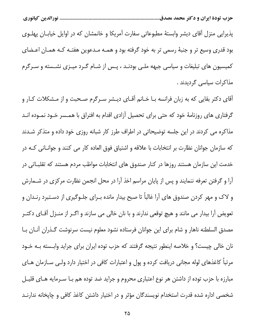پذیرایی منزل آقای دیشر وابستهٔ مطبوعاتی سفارت آمریکا و خانمشان که در اوایل خیابـان پهلـوی بود قدری وسیع تر و جنبهٔ رسمی تر به خود گرفته بود و همـه مـدعوین هفتـه کـه همـان اعـضای کمیسیون های تبلیغات و سیاسی جبهه ملـی بودنـد ، پـس از شـام گـرد میـزی نشـسته و سـرگرم مذاکرات سیاسی گردیدند .

آقای دکتر بقایی که به زبان فرانسه بـا خـانم آقـای دیـشر سـرگرم صـحبت و از مـشکلات کـار و گرفتاری های روزنامهٔ خود که حتی برای تحصیل آزادی اقدام به افتراق با همـسر خـود نمـوده انـد مذاکره می کردند در این جلسه توضیحاتی در اطراف طرز کار شبانه روزی خود داده و متذکر شـدند که سازمان جوانان نظارت بر انتخابات با علاقه و اشتیاق فوق العاده کار می کنند و جوانـانی کـه در خدمت این سازمان هستند روزها در کنار صندوق های انتخابات مواظب مردم هستند که تقلبـاتی در آرا و گرفتن تعرفه ننمایند و پس از پایان مراسم اخذ آرا در محل انجمن نظارت مرکزی در شــمارش و لاک و مهر کردن صندوق های آرا غالباً تا صبح بیدار مانده بـرای جلـوگیری از دسـتبرد رنـدان و تعویض آرا بیدار می مانند و هیچ توقعی ندارند و با نان خالی می سازند و اگــر از منــزل آقــای دکتــر مصدق السلطنه ناهار و شام برای این جوانان فرستاده نشود معلوم نیست سرنوشت گـذران آنـان بـا نان خالی چیست؟ و خلاصه اینطور نتیجه گرفتند که حزب توده ایران برای جراید وابسته بـه خـود مرتباً كاغذهاى لوله مجانى دريافت كرده و پول و اعتبارات كافى در اختيار دارد ولـى سـازمان هـاى مبارزه با حزب توده از داشتن هر نوع اعتباري محروم و جرايد ضد توده هم بــا ســرمايه هــاي قليــل شخصی اداره شده قدرت استخدام نویسندگان مؤثر و در اختیار داشتن کاغذ کافی و چاپخانه ندارنــد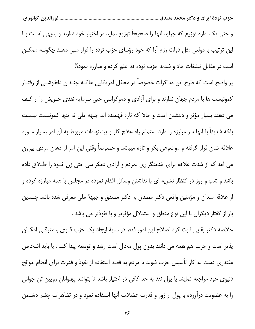و حتى يک اداره توزيع که جرايد آنها را صحيحاً توزيع نمايد در اختيار خود ندارند و بديهي اسـت بــا این ترتیب با دولتی مثل دولت رزم آرا که خود رؤسای حزب توده را فرار مـی دهـد چگونـه ممکـن است در مقابل تبلیغات حاد و شدید حزب توده قد علم کرده و مبارزه نمود؟!

پر واضح است که طرح این مذاکرات خصوصاً در محفل آمریکایی هاکـه چنـدان دلخوشــی از رفتـار کمونیست ها با مردم جهان ندارند و برای آزادی و دموکراسی حتی سرمایه نقدی خـویش را از کـف می دهند بسیار مؤثر و دلنشین است و حالا که تازه فهمیده اند جبهه ملی نه تنها کمونیست نیـست بلکه شدیداً با آنها سر مبارزه را دارد استماع راه علاج کار و پیشنهادات مربوط به آن امر بسیار مــورد علاقه شان قرار گرفته و موضوعی بکر و تازه میباشد و خصوصاً وقتی این امر از دهان مردی بیرون می آمد که از شدت علاقه برای خدمتگزاری بمردم و آزادی دمکراسی حتی زن خـود را طـلاق داده باشد و شب و روز در انتظار نشریه ای با نداشتن وسائل اقدام نموده در مجلس با همه مبارزه کرده و از علاقه مندان و مؤمنین واقعی دکتر مصدق به دکتر مصدق و جبههٔ ملی معرفی شده باشد چنــدین بار از گفتار دیگران با این نوع منطق و استدلال مؤثرتر و با نفوذتر می باشد .

خلاصه دکتر بقایی ثابت کرد اصلاح این امور فقط در سایهٔ ایجاد یک حزب قــوی و مترقــی امکــان پذیر است و حزب هم همه می دانند بدون پول محال است رشد و توسعه پیدا کند . یا باید اشخاص مقتدری دست به کار تأسیس حزب شوند تا مردم به قصد استفاده از نفوذ و قدرت برای انجام حوائج دنیوی خود مراجعه نمایند یا پول نقد به حد کافی در اختیار باشد تا بتوانند پهلوانان رویین تن جوانی را به عضویت درآورده با پول از زور و قدرت عضلات آنها استفاده نمود و در تظاهرات چشم دشــمن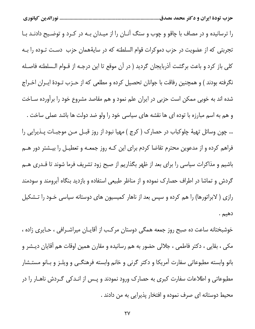را ترسانیده و در مصاف با چاقو و چوب و سنگ آنـان را از میـدان بـه در کـرد و توضـیح دادنـد بـا تجربتی که از عضویت در حزب دموکرات قوام السلطنه که در سایهٔهمان حزب دست تـوده را بـه كلى باز كرد و باعث برگشت آذربايجان گرديد ( در آن موقع تا اين درجـه از قـوام الـسلطنه فاصـله نگرفته بودند ) و همچنین رفاقت با جوانان تحصیل کرده و مطلعی که از حـزب تـودهٔ ایـران اخـراج شده اند به خوبی ممکن است حزبی در ایران علم نمود و هم مقاصد مشروع خود را برآورده سـاخت و هم به اسم مبارزه با توده ای ها نقشه های سیاسی خود را ولو ضد دولت ها باشد عملی ساخت . … چون وسائل تهيهٔ چلوكباب در حصارك (كرج ) مهيا نبود از روز قبـل مـن موجبـات پـذيرايي را فراهم کرده و از مدعوین محترم تقاضا کردم برای این کـه روز جمعـه و تعطیـل را بیـشتر دور هــم باشیم و مذاکرات سیاسی را برای بعد از ظهر بگذاریم از صبح زود تشریف فرما شوند تا قــدری هــم گردش و تماشا در اطراف حصارک نموده و از مناظر طبیعی استفاده و بازدید بنگاه آبرومند و سودمند رازی ( لابراتورها) را هم کرده و سپس بعد از ناهار کمیسیون های دوستانه سیاسی خـود را تـشکیل دهيم .

خوشبختانه ساعت ده صبح روز جمعه همگی دوستان مرکب از آقایـان میراشـرافی ، حـایری زاده ، مکی ، بقایی ، دکتر فاطمی ، جلالی حضور به هم رسانیده و مقارن همین اوقات هم آقایان دیـشر و بانو وابسته مطبوعاتي سفارت آمريكا و دكتر گرني و خانم وابسته فرهنگــي و ويلــز و بــانو مستــشار مطبوعاتی و اطلاعات سفارت کبری به حصارک ورود نمودند و پـس از انـدکی گـردش ناهـار را در محیط دوستانه ای صرف نموده و افتخار پذیرایی به من دادند .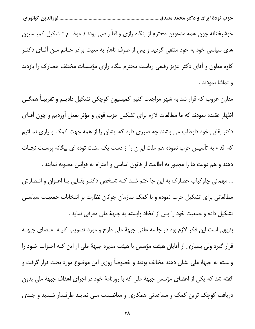خوشبختانه چون همه مدعوین محترم از بنگاه رازی واقعاً راضی بودنـد موضـع تـشکیل کمیـسیون های سیاسی خود به خود منتفی گردید و پس از صرف ناهار به معیت برادر خـانم مـن آقـای دکتـر کاوه معاون و آقای دکتر عزیز رفیعی ریاست محترم بنگاه رازی مؤسسات مختلف حصارک را بازدید و تماشا نمودند .

مقارن غروب که قرار شد به شهر مراجعت کنیم کمیسیون کوچکی تشکیل دادیــم و تقریبـاً همگــی اظهار عقیده نمودند که ما مطالعات لازم برای تشکیل حزب قوی و مؤثر بعمل آوردیم و چون آقای دکتر بقایی خود داوطلب می باشند چه ضرری دارد که ایشان را از همه جهت کمک و یاری نمـائیم که اقدام به تأسیس حزب نموده هم ملت ایران را از دست یک مشت توده ای بیگانه پرسـت نجـات دهند و هم دولت ها را مجبور به اطاعت از قانون اساسی و احترام به قوانین مصوبه نمایند .

… مهمانی چلوکباب حصارک به این جا ختم شـد کـه شـخص دکتـر بقـایی بـا اعـوان و انـصارش مطالعاتی برای تشکیل حزب نموده و با کمک سازمان جوانان نظارت بر انتخابات جمعیت سیاسی تشكيل داده و جمعيت خود را پس از اتخاذ وابسته به جبههٔ ملى معرفى نمايد .

بدیهی است این فکر لازم بود در جلسه علنی جبههٔ ملی طرح و مورد تصویب کلیـه اعـضای جبهـه قرار گیرد ولی بسیاری از آقایان هیئت مؤسس با هیئت مدیره جبههٔ ملی از این کـه احـزاب خـود را وابسته به جبههٔ ملی نشان دهند مخالف بودند و خصوصاً روزی این موضوع مورد بحث قرار گرفت و گفته شد که یکی از اعضای مؤسس جبههٔ ملی که با روزنامهٔ خود در اجرای اهداف جبههٔ ملی بدون دریافت کوچک ترین کمک و مساعدتی همکاری و معاضـدت مـی نمایـد طرفـدار شـدید و جـدی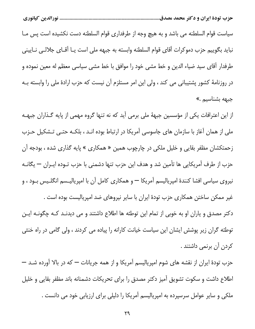سياست قوام السلطنه مي باشد و به هيچ وجه از طرفداري قوام السلطنه دست نكشيده است پس مــا نبايد بگوييم حزب دموكرات آقاي قوام السلطنه وابسته به جبهه ملي است يـا آقـاي جلالـي نــاييني طرفدار أقاى سيد ضياء الدين و خط مشي خود را موافق با خط مشي سياسي معظم له معين نموده و در روزنامهٔ کشور پشتیبانی می کند ، ولی این امر مستلزم آن نیست که حزب ارادهٔ ملی را وابسته بــه جبهه بشناسیم .»

از این اعترافات یکی از مؤسسین جبههٔ ملی برمی آید که نه تنها گروه مهمی از پایه گـذاران جبهـه ملی از همان آغاز با سازمان های جاسوسی آمریکا در ارتباط بوده انـد ، بلکـه حتـی تـشکیل حـزب زحمتکشان مظفر بقایی و خلیل ملکی در چارچوب همین « همکاری » پایه گذاری شده ، بودجه آن حزب از طرف آمریکایی ها تأمین شد و هدف این حزب تنها دشمنی با حزب تـوده ایـران — یگانــه نیروی سیاسی افشا کنندهٔ امپریالیسم آمریکا — و همکاری کامل آن با امپریالیــسم انگلــیس بــود ، و غیر ممکن ساختن همکاری حزب تودهٔ ایران با سایر نیروهای ضد امپریالیست بوده است . دکتر مصدق و یاران او به خوبی از تمام این توطئه ها اطلاع داشتند و می دیدنـد کـه چگونـه ایـن توطئه گران زیر پوشش ایشان این سیاست خیانت کارانه را پیاده می کردند ، ولی گامی در راه خنثی

كردن آن برنمي داشتند .

حزب تودهٔ ایران از نقشه های شوم امپریالیسم آمریکا و از همه جریانات — که در بالا آورده شــد — اطلاع داشت و سکوت تشویق آمیز دکتر مصدق را برای تحریکات دشمنانه باند مظفر بقایی و خلیل ملکی و سایر عوامل سرسپرده به امپریالیسم آمریکا را دلیلی برای ارزیابی خود می دانست .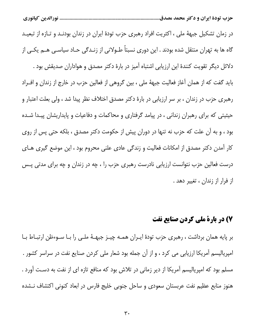در زمان تشکیل جبههٔ ملی ، اکثریت افراد رهبری حزب تودهٔ ایران در زندان بودنـد و تـازه از تبعیـد گاه ها به تهران منتقل شده بودند . این دوری نسبتاً طـولانی از زنـدگی حـاد سیاسـی هـم یکـی از دلائل دیگر تقویت کنندهٔ این ارزیابی اشتباه آمیز در بارهٔ دکتر مصدق و هواداران صدیقش بود . باید گفت که از همان آغاز فعالیت جبههٔ ملی ، بین گروهی از فعالین حزب در خارج از زندان و افـراد رهبری حزب در زندان ، بر سر ارزیابی در بارهٔ دکتر مصدق اختلاف نظر پیدا شد ، ولی بعلت اعتبار و حیثیتی که برای رهبران زندانی ، در پیامد گرفتاری و محاکمات و دفاعیات و پایداریشان پیـدا شـده بود ، و به آن علت که حزب نه تنها در دوران پیش از حکومت دکتر مصدق ، بلکه حتی پس از روی كار آمدن دكتر مصدق از امكانات فعاليت و زندگي عادي علني محروم بود ، اين موضع گيري هـاي درست فعالین حزب نتوانست ارزیابی نادرست رهبری حزب را ، چه در زندان و چه برای مدتی پـس از فرار از زندان ، تغییر دهد .

### ۷) در بارة ملي کردن صنايع نفت

بر پایه همان برداشت ، رهبری حزب تودهٔ ایـران همـه چیـز جبهـهٔ ملـی را بـا سـوءظن ارتبـاط بـا امپریالیسم آمریکا ارزیابی می کرد ، و از آن جمله بود شعار ملی کردن صنایع نفت در سراسر کشور . مسلم بود که امپریالیسم آمریکا از دیر زمانی در تلاش بود که منافع تازه ای از نفت به دسـت آورد . هنوز منابع عظیم نفت عربستان سعودی و ساحل جنوبی خلیج فارس در ابعاد کنونی اکتشاف نــشده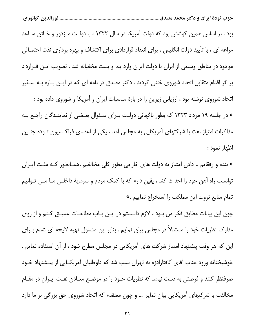بود . بر اساس همین کوشش بود که دولت آمریکا در سال ۱۳۲۲ ، با دولت مـزدور و خـائن سـاعد مراغه ای ، با تأیید دولت انگلیس ، برای انعقاد قراردادی برای اکتشاف و بهره برداری نفت احتمـالی موجود در مناطق وسیعی از ایران با دولت ایران وارد بند و بست مخفیانه شد . تصویب ایـن قــرارداد بر اثر اقدام متقابل اتحاد شوروی خنثی گردید . دکتر مصدق در نامه ای که در ایـن بـاره بـه سـفیر اتحاد شوروی نوشته بود ، ارزیابی زیرین را در بارهٔ مناسبات ایران و آمریکا و شوروی داده بود : « در جلسه ۱۹ مرداد ۱۳۲۳ که بطور ناگهانی دولت بـرای سـئوال بعـضی از نماینـدگان راجـع بـه مذاکرات امتیاز نفت با شرکتهای آمریکایی به مجلس آمد ، یکی از اعضای فراکسیون تـوده چنـین اظهار نمود :

« بنده و رفقایم با دادن امتیاز به دولت های خارجی بطور کلی مخالفیم .همـانطور کـه ملـت ایـران توانست راه آهن خود را احداث کند ، یقین دارم که با کمک مردم و سرمایهٔ داخلـی مـا مـی تـوانیم تمام منابع ثروت اين مملكت را استخراج نماييم .»

چون این بیانات مطابق فکر من بود ، لازم دانـستم در ایـن بـاب مطالعـات عمیـق کـنم و از روی مدارک نظریات خود را مستدلاً در مجلس بیان نمایم . بنابر این مشغول تهیه لایحه ای شدم بـرای این که هر وقت پیشنهاد امتیاز شرکت های آمریکایی در مجلس مطرح شود ، از آن استفاده نمایم . خوشبختانه ورود جناب آقای کافتارادزه به تهران سبب شد که داوطلبان آمریکـایی از پیـشنهاد خـود صرفنظر کنند و فرصتی به دست نیامد که نظریات خــود را در موضــع معــادن نفـت ایــران در مقــام مخالفت با شرکتهای آمریکایی بیان نمایم … و چون معتقدم که اتحاد شوروی حق بزرگی بر ما دارد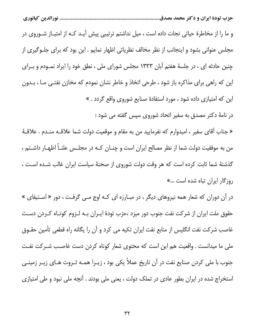و ما را از مخاطرهٔ حیاتی نجات داده است ، میل نداشتم ترتیبی پیش آیـد کـه از امتیـاز شـوروی در مجلس عنوانی بشود و اینجانب از نظر مخالف نظریاتی اظهار نمایم . این بود که برای جلـوگیری از چنین حادثه ای ، در جلسهٔ هفتم آبان ۱۳۲۳ مجلس شورای ملی ، نطق خود را ایراد نمـودم و بـرای این که راهی برای مذاکره باز شود ، طرحی اتخاذ و خاطر نشان نمودم که مخازن نفتـی مـا ، بـدون این که امتیازی داده شود ، مورد استفادهٔ صنایع شوروی واقع گردد . »

در نامهٔ دکتر مصدق به سفیر اتحاد شوروی سپس گفته می شود :

« جناب آقای سفیر ، امیدوارم که نفرمایید من به مقام و موقعیت دولت شما علاقـه منـدم . علاقـهٔ من به موفقیت دولت شما از نظر مصالح ایران است و چنــان کــه در مجلــس علنــاً اظهــار داشــتم ، گذشتهٔ شما ثابت کرده است که هر وقت دولت شوروی از صحنهٔ سیاست ایران غالب شـده اسـت ، روزگار ایران تباه شده است …»

در آن دوران که شعار همه نیروهای دیگر ، در مبـارزه ای کـه اوج مــی گرفـت ، دور « اسـتیفای » حقوق ملت ایران از شرکت نفت جنوب دور میزد ،حزب تودهٔ ایـران بـه لـزوم کوتـاه کـردن دسـت غاصب شرکت نفت انگلیس از منابع نفت ایران تکیه می کرد و آن را یگانه راه قطعی تأمین حقــوق ملی ما میدانست . واقعیت هم این است که محتوی شعار کوتاه کردن دست غاصب شـرکت نفـت جنوب با ملی کردن صنایع نفت در آن تاریخ عملاً یکی بود ، زیــرا همــه ثــروت هــای زیــر زمینــی استخراج شده در ایران بطور عادی در تملک دولت ، یعنی ملی بودند . آنچه ملی نبود و طی امتیازی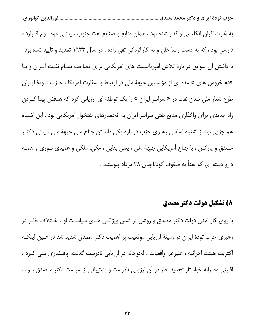به غارت گران انگلیسی واگذار شده بود ، همان منابع و صنایع نفت جنوب ، یعنـی موضـوع قـرارداد دارسی بود ، که به دست رضا خان و به کارگردانی تقی زاده ، در سال ۱۹۳۳ تمدید و تایید شده بود. با داشتن آن سوابق در بارهٔ تلاش امپریالیست های آمریکایی برای تصاحب تمـام نفـت ایـران و بـا «دم خروس های » عده ای از مؤسسین جبههٔ ملی در ارتباط با سفارت آمریکا ، حــزب تــودهٔ ایــران طرح شعار ملی شدن نفت در « سراسر ایران » را یک توطئه ای ارزیابی کرد که هدفش پیدا کـردن راه جدیدی برای واگذاری منابع نفتی سراسر ایران به انحصارهای نفتخوار آمریکایی بود . این اشتباه هم جزیی بود از اشتباه اساسی رهبری حزب در باره یکی دانستن جناح ملی جبههٔ ملی ، یعنی دکتـر مصدق و یارانش ، با جناح آمریکایی جبههٔ ملی ، یعنی بقایی ، مکی، ملکی و عمیدی نـوری و همـه دارو دسته ای که بعداً به صفوف کودتاچیان ۲۸ مرداد پیوستند .

#### 8) تشکیل دولت دکتر مصدق

با روی کار آمدن دولت دکتر مصدق و روشن تر شدن ویژگـی هـای سیاسـت او ، اخـتلاف نظـر در رهبری حزب تودهٔ ایران در زمینهٔ ارزیابی موقعیت پر اهمیت دکتر مصدق شدید شد در عـین اینکـه اکثریت هیئت اجرائیه ، علیرغم واقعیات ، لجوجانه در ارزیابی نادرست گذشته پافشاری مـی کـرد ، اقلیتی مصرانه خواستار تجدید نظر در آن ارزیابی نادرست و پشتیبانی از سیاست دکتر مـصدق بـود .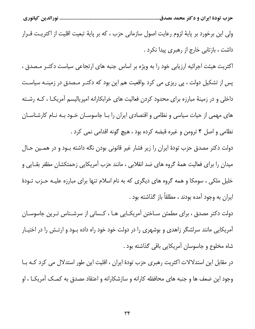ولی این برخورد بر پایهٔ لزوم رعایت اصول سازمانی حزب ، که بر پایهٔ تبعیت اقلیت از اکثریت قـرار داشت ، بازتابی خارج از رهبری پیدا نکرد .

اکثریت هیئت اجرائیه ارزیابی خود را به ویژه بر اساس جنبه های ارتجاعی سیاست دکتـر مـصدق ، پس از تشکیل دولت ، پی ریزی می کرد .واقعیت هم این بود که دکتـر مـصدق در زمینــه سیاسـت داخلی و در زمینهٔ مبارزه برای محدود کردن فعالیت های خرابکارانه امپریالیسم آمریکــا ، کــه رشــته های مهمی از حیات سیاسی و نظامی و اقتصادی ایران را بـا جاسوسـان خـود بـه نـام کارشناسـان نظامی و اصل ۴ ترومن و غیره قبضه کرده بود ، هیچ گونه اقدامی نمی کرد .

دولت دکتر مصدق حزب تودهٔ ایران را زیر فشار غیر قانونی بودن نگه داشته بـود و در همـین حـال میدان را برای فعالیت همهٔ گروه های ضد انقلابی ، مانند حزب آمریکایی زحمتکشان مظفر بقـایی و خلیل ملکی ، سومکا و همه گروه های دیگری که به نام اسلام تنها برای مبارزه علیـه حـزب تـودهٔ ایران به وجود آمده بودند ، مطلقاً باز گذاشته بود .

دولت دکتر مصدق ، برای مطمئن سـاختن آمریکـایی هـا ، کـسانی از سرشـناس تـرین جاسوسـان آمریکایی مانند سرلشگر زاهدی و بوشهری را در دولت خود خود راه داده بـود و ارتـش را در اختیـار شاه مخلوع و جاسوسان آمريكايي باقي گذاشته بود .

در مقابل این استدلالات اکثریت رهبری حزب تودهٔ ایران ، اقلیت این طور استدلال می کرد کـه بـا وجود این ضعف ها و جنبه های محافظه کارانه و سازشکارانه و اعتقاد مصدق به کمـک آمریکــا ، او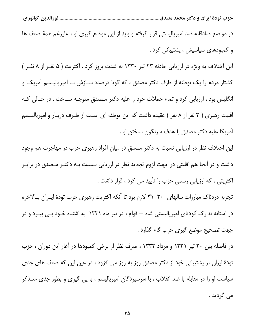در مواضع صادقانه ضد امپریالیستی قرار گرفته و باید از این موضع گیری او ، علیرغم همهٔ ضعف ها و کمبودهای سیاسیش ، پشتیبانی کرد .

این اختلاف به ویژه در ارزیابی حادثه ۲۳ تیر ۱۳۳۰ به شدت بروز کرد . اکثریت ( ۵ نفــر از ۸ نفــر ) کشتار مردم را یک توطئه از طرف دکتر مصدق ، که گویا درصدد ســازش بــا امپریالیــسم آمریکــا و انگلیس بود ، ارزیابی کرد و تمام حملات خود را علیه دکتر مـصدق متوجـه سـاخت . در حـالی کـه اقلیت رهبری ( ۳ نفر از ۸ نفر ) عقیده داشت که این توطئه ای است از طـرف دربـار و امپریالیـسم آمريكا عليه دكتر مصدق با هدف سرنگون ساختن او .

این اختلاف نظر در ارزیابی نسبت به دکتر مصدق در میان افراد رهبری حزب در مهاجرت هم وجود داشت و در آنجا هم اقلیتی در جهت لزوم تجدید نظر در ارزیابی نـسبت بـه دکتـر مـصدق در برابـر اکثریتی ، که ارزیابی رسمی حزب را تأیید می کرد ، قرار داشت .

تجربه دردناک مبارزات سالهای ۳۰–۳۱ لازم بود تا آنکه اکثریت رهبری حزب تودهٔ ایـران بـالاخره در آستانه تدارک کودتای امپریالیستی شاه — قوام ، در تیر ماه ۱۳۳۱ به اشتباه خـود پـی ببـرد و در جهت تصحيح موضع گيري حزب گام گذارد .

در فاصله بین ۳۰ تیر ۱۳۳۱ و مرداد ۱۳۳۲ ، صرف نظر از برخی کمبودها در آغاز این دوران ، حزب تودهٔ ایران بر پشتیبانی خود از دکتر مصدق روز به روز می افزود ، در عین این که ضعف های جدی سیاست او را در مقابله با ضد انقلاب ، با سرسپردگان امپریالیسم ، با پی گیری و بطور جدی متـذکر مي گرديد .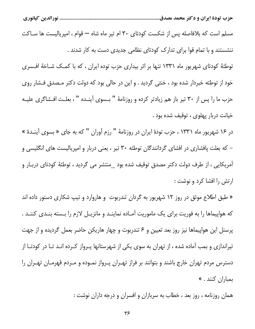مسلم است که بلافاصله پس از شکست کودتای ۳۰ ام تیر ماه شاه — قوام ، امپریالیست ها ســاکت ننشستند و با تمام قوا برای تدارک کودتای نظامی جدیدی دست به کار شدند . توطئهٔ کودتای شهریور ماه ۱۳۳۱ تنها بر اثر بیداری حزب توده ایران ، که با کمک شـاخهٔ افـسری خود از توطئه خبردار شده بود ، خنثی گردید . و این در حالی بود که دولت دکتر مـصدق فـشار روی حزب ما را پس از ۳۰ تیر باز هم زیادتر کرده و روزنامهٔ " بـسوی آینـده " ، بعلـت افـشاگری علیـه خيانت دربار پهلوي ، توقيف شده بود .

در ۱۶ شهریور ماه ۱۳۳۱ ، حزب تودهٔ ایران در روزنامهٔ " رزم آوران " که به جای « بسوی آینـدهٔ » – که بعلت پافشاری در افشای گردانندگان توطئه ۳۰ تیر ، یعنی دربار و امپریالیست های انگلیسی و آمریکایی ، از طرف دولت دکتر مصدق توقیف شده بود \_منتشر می گردید ، توطئهٔ کودتای دربـار و ارتش را افشا كرد و نوشت :

« طبق اطلاع موثق در روز ۱۲ شهریور به گردان تندربوت و هاروارد و تیپ شکاری دستور داده اند که هواپیماها را به فوریت برای یک ماموریت آمـاده نماینـد و مانزیـل لازم را بـسته بنـدی کننـد . پرسنل این هواپیماها نیز روز بعد تعیین و ۶ تندربوت و چهار هاریکن حاضر بعمل گردیده و از جهت تیراندازی و بمب آماده شده ، از تهران به سوی یکی از شهرستانها پـرواز کـرده انـد تـا در کودتـا از دسترس مردم تهران خارج باشند و بتوانند بر فراز تهـران پـرواز نمـوده و مـردم قهرمـان تهـران را بمباران كنند . »

همان روزنامه ، روز بعد ، خطاب به سربازان و افسران و درجه داران نوشت :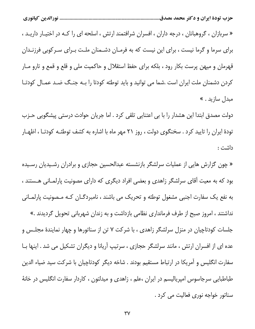« سربازان ، گروهبانان ، درجه داران ، افسران شرافتمند ارتش ، اسلحه ای را کـه در اختیـار داریـد ، برای سرما و گرما نیست ، برای این نیست که به فرمـان دشـمنان ملـت بـرای سـرکوبی فرزنـدان قهرمان و میهن پرست بکار رود ، بلکه برای حفظ استقلال و حاکمیت ملی و قلع و قمع و تارو مـار کردن دشمنان ملت ایران است .شما می توانید و باید توطئه کودتا را بـه جنـگ ضـد عمـال کودتـا مبدل سازيد . »

دولت مصدق ابتدا این هشدار را با بی اعتنایی تلقی کرد . اما جریان حوادث درستی پیشگویی حـزب تودهٔ ایران را تایید کرد . سخنگوی دولت ، روز ۲۱ مهر ماه با اشاره به کشف توطئـه کودتـا ، اظهـار داشت :

« چون گزارش هایی از عملیات سرلشگر بازنشسته عبدالحسین حجازی و برادران رشـیدیان رسـیده بود که به معیت آقای سرلشگر زاهدی و بعضی افراد دیگری که دارای مصونیت پارلمـانی هــستند ، به نفع یک سفارت اجنبی مشغول توطئه و تحریک می باشند ، نامبردگـان کـه مـصونیت پارلمـانی نداشتند ، امروز صبح از طرف فرمانداری نظامی بازداشت و به زندان شهربانی تحویل گردیدند .» جلسات کودتاچیان در منزل سرلشگر زاهدی ، با شرکت ۷ تن از سناتورها و چهار نمایندهٔ مجلـس و عده ای از افسران ارتش ، مانند سرلشگر حجازی ، سرتیپ آریانا و دیگران تشکیل می شد . اینها بـا سفارت انگلیس و آمریکا در ارتباط مستقیم بودند . شاخه دیگر کودتاچیان با شرکت سید ضیاء الدین طباطبایی سرجاسوس امپریالیسم در ایران ،علم ، زاهدی و میدلتون ، کاردار سفارت انگلیس در خانهٔ سناتور خواجه نوری فعالیت می کرد .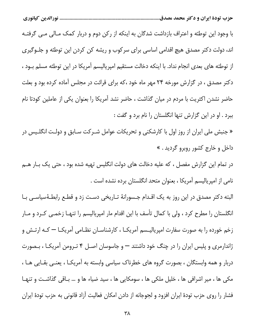با وجود این توطئه و اعتراف بازداشت شدگان به اینکه از رکن دوم و دربار کمک مـالی مـی گرفتـه اند، دولت دکتر مصدق هیچ اقدامی اساسی برای سرکوب و ریشه کن کردن این توطئه و جلــوگیری از توطئه های بعدی انجام نداد. با اینکه دخالت مستقیم امپریالیسم آمریکا در این توطئه مسلم بـود ، دکتر مصدق ، در گزارش مورخه ۲۴ مهر ماه خود ،که برای قرائت در مجلس آماده کرده بود و بعلت حاضر نشدن اکثریت با مردم در میان گذاشت ، حاضر نشد آمریکا را بعنوان یکی از عاملین کودتا نام ببرد . او در این گزارش تنها انگلستان را نام برد و گفت :

« جنبش ملی ایران از روز اول با کارشکنی و تحریکات عوامل شـرکت سـابق و دولـت انگلـیس در داخل و خارج کشور روبرو گردید . »

در تمام این گزارش مفصل ، که علیه دخالت های دولت انگلیس تهیه شده بود ، حتی یک بـار هــم نامی از امپریالیسم آمریکا ، بعنوان متحد انگلستان برده نشده است .

البته دکتر مصدق در این روز به یک اقـدام جـسورانهٔ تـاریخی دسـت زد و قطـع رابطـهٔسیاسـی بـا انگلستان را مطرح کرد ، ولی با کمال تأسف با این اقدام مار امپریالیسم را تنهـا زخمـی کـرد و مـار زخم خورده را به صورت سفارت امپریالیـسم آمریکـا ، کارشناسـان نظـامی آمریکـا — کـه ارتـش و ژاندارمری و پلیس ایران را در چنگ خود داشتند — و جاسوسان اصـل ۴ تـرومن آمریکـا ، بـصورت دربار و همه وابستگان ، بصورت گروه های خطرناک سیاسی وابسته به آمریکـا ، یعنـی بقـایی هـا ، مکی ها ، میر اشرافی ها ، خلیل ملکی ها ، سومکایی ها ، سید ضیاء ها و … بـاقی گذاشـت و تنهـا فشار را روی حزب تودهٔ ایران افزود و لجوجانه از دادن امکان فعالیت آزاد قانونی به حزب تودهٔ ایران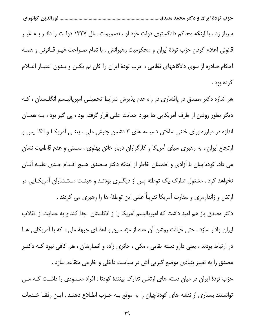سرباز زد ، با اینکه محاکم دادگستری دولت خود او ، تصمیمات سال ۱۳۲۷ دولـت را دائـر بــه غیــر قانونی اعلام کردن حزب تودهٔ ایران و محکومیت رهبرانش ، با تمام صـراحت غیــر قــانونی و همــه احکام صادره از سوی دادگاههای نظامی ، حزب تودهٔ ایران را کان لم یکـن و بـدون اعتبـار اعــلام کرده بود .

هر اندازه دکتر مصدق در پافشاری در راه عدم پذیرش شرایط تحمیلـی امپریالیـسم انگلـستان ، کـه دیگر بطور روشن از طرف آمریکایی ها مورد حمایت علنی قرار گرفته بود ، پی گیر بود ، بـه همـان اندازه در مبارزه برای خنثی ساختن دسیسه های ۳ دشمن جنبش ملی ، یعنـی آمریکـا و انگلـیس و ارتجاع ایران ، به رهبری سیای آمریکا و کارگزاران دربار خائن پهلوی ، سستی و عدم قاطعیت نشان می داد. کودتاچیان با آزادی و اطمینان خاطر از اینکه دکتر مـصدق هـیچ اقـدام جـدی علیـه آنـان نخواهد کرد ، مشغول تدارک یک توطئه پس از دیگـری بودنـد و هیئـت مستـشاران آمریکـایی در ارتش و ژاندارمری و سفارت آمریکا تقریباً علنی این توطئهٔ ها را رهبری می کردند .

دکتر مصدق باز هم امید داشت که امپریالیسم آمریکا را از انگلستان ِ جدا کند و به حمایت از انقلاب ایران وادار سازد . حتی خیانت روشن آن عده از مؤسسین و اعضای جبههٔ ملی ، که با آمریکایی هـا در ارتباط بودند ، یعنی دارو دسته بقایی ، مکی ، حائری زاده و انصارشان ، هم کافی نبود کـه دکتــر مصدق را به تغییر بنیادی موضع گیریی اش در سیاست داخلی و خارجی متقاعد سازد . حزب تودهٔ ایران در میان دسته های ارتشی تدارک بینندهٔ کودتا ، افراد معـدودی را داشـت کـه مـی توانستند بسیاری از نقشه های کودتاچیان را به موقع بـه حـزب اطـلاع دهنـد . ایـن رفقـا خـدمات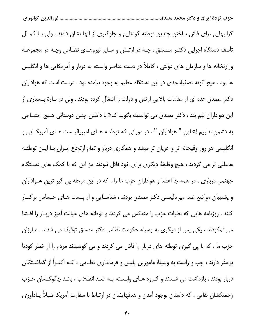گرانبهایی برای فاش ساختن چندین توطئه کودتایی و جلوگیری از آنها نشان دادند . ولی بـا کمـال تأسف دستگاه اجرایی دکتـر مـصدق ، چـه در ارتـش و سـایر نیروهـای نظـامی وچـه در مجموعـهٔ وزارتخانه ها و سازمان های دولتی ، کاملاً در دست عناصر وابسته به دربار و آمریکایی ها و انگلیس ها بود . هیچ گونه تصفیهٔ جدی در این دستگاه عظیم به وجود نیامده بود . درست است که هواداران دکتر مصدق عده ای از مقامات بالایی ارتش و دولت را اشغال کرده بودند . ولی در بـارهٔ بـسیاری از این هواداران نیم بند ، دکتر مصدق می توانست بگوید ک« با داشتن چنین دوستانی هـیچ احتیـاجی به دشمن نداریم !» این " هواداران " ، در دورانی که توطئـه هـای امپریالیـست هـای آمریکــایی و انگلیسی هر روز وقیحانه تر و عریان تر میشد و همکاری دربار و تمام ارتجاع ایـران بـا ایـن توطئـه هاعلنی تر می گردید ، هیچ وظیفهٔ دیگری برای خود قائل نبودند جز این که با کمک های دستگاه جهنمی درباری ، در همه جا اعضا و هواداران حزب ما را ، که در این مرحله پی گیر ترین هــواداران و پشتیبان مواضع ضد امپریالیستی دکتر مصدق بودند ، شناسـایی و از پـست هـای حـساس برکنـار کنند . روزنامه هایی که نظرات حزب را منعکس می کردند و توطئه های خیانت آمیز دربـار را افـشا می نمکودند ، یکی پس از دیگری به وسیله حکومت نظامی دکتر مصدق توقیف می شدند . مبارزان حزب ما ، که با پی گیری توطئه های دربار را فاش می کردند و می کوشیدند مردم را از خطر کودتا برحذر دارند ، چپ و راست به وسیلهٔ مامورین پلیس و فرمانداری نظـامی ، کـه اکثـراً از گماشــتگان دربار بودند ، بازداشت می شـدند و گـروه هـای وابـسته بـه ضـد انقــلاب ، بانـد چاقوکـشان حـزب زحمتکشان بقایی ، که داستان بوجود آمدن و هدفهایشان در ارتباط با سفارت آمریکا قـبلاً یـادآوری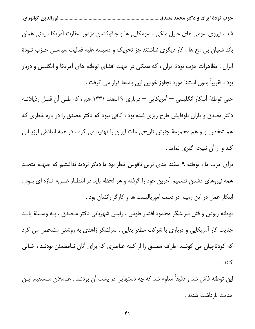شد ، نیروی سومی های خلیل ملکی ، سومکایی ها و چاقوکشان مزدور سفارت آمریکا ، یعنی همان باند شعبان بی مخ ها ، کار دیگری نداشتند جز تحریک و دسیسه علیه فعالیت سیاسـی حـزب تـودهٔ ایران . تظاهرات حزب تودهٔ ایران ، که همگی در جهت افشای توطئه های آمریکا و انگلیس و دربار بود ، تقريباً بدون استثنا مورد تجاوز خونين اين باندها قرار مي گرفت .

حتی توطئهٔ آشکار انگلیسی — آمریکایی — درباری ۹ اسفند ۱۳۳۱ هم ، که طـی آن قتـل رذیلانـه دکتر مصدق و یاران باوفایش طرح ریزی شده بود ، کافی نبود که دکتر مصدق را در باره خطری که هم شخص او و هم مجموعهٔ جنبش تاریخی ملت ایران را تهدید می کرد ، در همه ابعادش ارزیـابی كند و از آن نتيجه گيري نمايد .

برای حزب ما ، توطئه ۹ اسفند جدی ترین ناقوس خطر بود ما دیگر تردید نداشتیم که جبهــه متحــد همه نیروهای دشمن تصمیم آخرین خود را گرفته و هر لحظه باید در انتظـار ضـربه تــازه ای بــود . ابتکار عمل در این زمینه در دست امپریالیست ها و کارگزارانشان بود .

توطئه ربودن و قتل سرلشگر محمود افشار طوس ، رئيس شهرباني دكتر مـصدق ، بـه وسـيلهٔ بانـد جنایت کار آمریکایی و درباری با شرکت مظفر بقایی ، سرلشکر زاهدی به روشنی مشخص می کرد که کودتاچیان می کوشند اطراف مصدق را از کلیه عناصری که برای آنان نـامطمئن بودنـد ، خـالی كنند .

این توطئه فاش شد و دقیقاً معلوم شد که چه دستهایی در پشت آن بودنـد . عـاملان مـستقیم ایـن جنايت بازداشت شدند .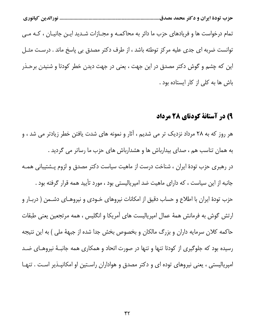تمام درخواست ها و فریادهای حزب ما دائر به محاکمـه و مجـازات شـدید ایـن جانیـان ، کـه مـی توانست ضربه ای جدی علیه مرکز توطئه باشد ، از طرف دکتر مصدق بی پاسخ ماند . درست مثـل این که چشم و گوش دکتر مصدق در این جهت ، یعنی در جهت دیدن خطر کودتا و شنیدن برحــذر باش ها به کلی از کار ایستاده بود .

### ۹) در آستانهٔ کودتای ۲۸ مرداد

هر روز که به ۲۸ مرداد نزدیک تر می شدیم ، آثار و نمونه های شدت یافتن خطر زیادتر می شد ، و به همان تناسب هم ، صدای بیدارباش ها و هشدارباش های حزب ما رساتر می گردید . در رهبری حزب تودهٔ ایران ، شناخت درست از ماهیت سیاست دکتر مصدق و لزوم پـشتیبانی همـه جانبه از این سیاست ، که دارای ماهیت ضد امپریالیستی بود ، مورد تأیید همه قرار گرفته بود . حزب تودهٔ ایران با اطلاع و حساب دقیق از امکانات نیروهای خـودی و نیروهـای دشــمن ( دربـار و ارتش گوش به فرمانش همهٔ عمال امپریالیست های آمریکا و انگلیس ، همه مرتجعین یعنی طبقات حاکمه کلان سرمایه داران و بزرگ مالکان و بخصوص بخش جدا شده از جبههٔ ملی ) به این نتیجه رسیده بود که جلوگیری از کودتا تنها و تنها در صورت اتحاد و همکاری همه جانبـهٔ نیروهـای ضـد امپریالیستی ، یعنی نیروهای توده ای و دکتر مصدق و هواداران راسـتین او امکانپـذیر اسـت . تنهـا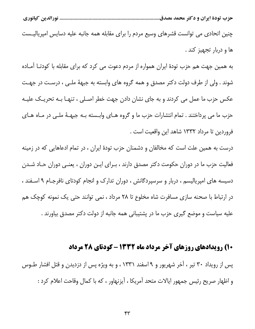چنین اتحادی می توانست قشرهای وسیع مردم را برای مقابله همه جانبه علیه دسایس امپریالیـست ها و دربار تجهیز کند .

به همین جهت هم حزب تودهٔ ایران همواره از مردم دعوت می کرد که برای مقابله با کودتـا آمـاده شوند . ولي از طرف دولت دكتر مصدق و همه گروه هاي وابسته به جبههٔ ملـي ، درسـت در جهـت عکس حزب ما عمل می کردند و به جای نشان دادن جهت خطر اصـلی ، تنهـا بـه تحریـک علیـه حزب ما می پرداختند . تمام انتشارات حزب ما و گروه هـای وابـسته بـه جبهـهٔ ملـی در مـاه هـای فروردين تا مرداد ١٣٣٢ شاهد اين واقعيت است .

درست به همین علت است که مخالفان و دشمنان حزب تودهٔ ایران ، در تمام ادعاهایی که در زمینه فعالیت حزب ما در دوران حکومت دکتر مصدق دارند ، بـرای ایـن دوران ، یعنـی دوران حـاد شـدن دسیسه های امپریالیسم ، دربار و سرسپردگانش ، دوران تدارک و انجام کودتای نافرجـام ۹ اسـفند ، در ارتباط با صحنه سازی مسافرت شاه مخلوع تا ۲۸ مرداد ، نمی توانند حتی یک نمونه کوچک هم علیه سیاست و موضع گیری حزب ما در پشتیبانی همه جانبه از دولت دکتر مصدق بیاورند .

#### ۱۰) رویدادهای روزهای آخر مرداد ماه ۱۳۳۲ - کودتای ۲۸ مرداد

پس از رویداد ۳۰ تیر ، آخر شهریور و ۹ اسفند ۱۳۳۱ ، و به ویژه پس از دزدیدن و قتل افشار طـوس و اظهار صريح رئيس جمهور ايالات متحد أمريكا ، أيزنهاور ، كه با كمال وقاحت اعلام كرد :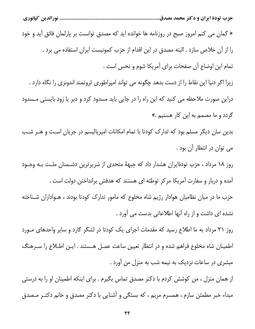« گمان می کنم امروز صبح در روزنامه ها خوانده اید که مصدق توانست بر پارلمان فائق آید و خود را از آن خلاص سازد . البته مصدق در این اقدام از حزب کمونیست ایران استفاده می برد . تمام اين اوضاع أن صفحات براي آمريكا شوم و نحس است .

زیرا اگر دنیا این نقاط را از دست بدهد چگونه می تواند امپراطوری ثروتمند اندونزی را نگاه دارد . دراین صورت ملاحظه می کنید که این راه را در جایی باید مسدود کرد و دیر یا زود بایستی مـسدود گردد و ما مصمم به این کار هستیم .»

بدین سان دیگر مسلم بود که تدارک کودتا با تمام امکانات امپریالیسم در جریان است و هـر شـب می توان در انتظار آن بود .

روز ١٨ مرداد ، حزب تودةايران هشدار داد كه جبههٔ متحدى از شريرترين دشـمنان ملـت بـه وجـود آمده و دربار و سفارت آمریکا مرکز توطئه ای هستند که هدفش برانداختن دولت است . حزب ما در میان نظامیان هوادار رژیم شاه مخلوع که مامور تدارک کودتا بودند ، هـواداران شـناخته

نشده ای داشت و از راه آنها اطلاعاتی بدست می آورد .

روز ۲۱ مرداد به ما اطلاع رسید که مقدمات اجرای یک کودتا در لشگر گارد و سایر واحدهای مـورد اطمینان شاه مخلوع فراهم شده و در انتظار تعیین ساعت عمـل هـستند . ایـن اطـلاع را سـرهنگ مبشری در ساعات نزدیک به نیمه شب به منزل من آورد .

از همان منزل ، من کوشش کردم با دکتر مصدق تماس بگیرم . برای اینکه اطمینان او را به درستی مبداء خبر مطمئن سازم ، همسرم مريم ، كه بستگي و آشنايي با دكتر مصدق و خانم دكتـر مـصدق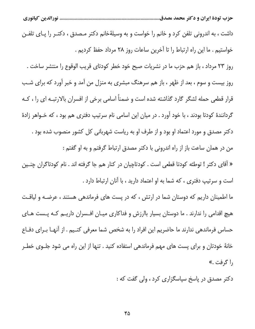داشت ، به اندرونی تلفن کرد و خانم را خواست و به وسیلهٔخانم دکتر مـصدق ، دکتـر را پــای تلفــن خواستيم . ما اين راه ارتباط را تا آخرين ساعات روز ٢٨ مرداد حفظ كرديم . روز ٢٣ مرداد ، باز هم حزب ما در نشريات صبح خود خطر كودتاي قريب الوقوع را منتشر ساخت . روز بیست و سوم ، بعد از ظهر ، باز هم سرهنگ مبشری به منزل من آمد و خبر آورد که برای شب قرار قطعی حمله لشگر گارد گذاشته شده است و ضمناً اسامی برخی از افسران بالارتبـه ای را ، کـه گردانندهٔ کودتا بودند ، با خود آورد . در میان این اسامی نام سرتیپ دفتری هم بود ، که خـواهر زادهٔ دکتر مصدق و مورد اعتماد او بود و از طرف او به ریاست شهربانی کل کشور منصوب شده بود . من در همان ساعت باز از راه اندرونی با دکتر مصدق ارتباط گرفتم و به او گفتم : « آقای دکتر ! توطئه کودتا قطعی است . کودتاچیان در کنار هم جا گرفته اند . نام کودتاگران چنـین است و سرتیپ دفتری ، که شما به او اعتماد دارید ، با آنان ارتباط دارد . ما اطمینان داریم که دوستان شما در ارتش ، که در پست های فرماندهی هستند ، عرضـه و لیاقـت هیچ اقدامی را ندارند . ما دوستان بسیار باارزش و فداکاری میـان افـسران داریـم کـه پـست هـای حساس فرماندهی ندارند ما حاضریم این افراد را به شخص شما معرفی کنـیم . از آنهـا بــرای دفــاع خانهٔ خودتان و برای پست های مهم فرماندهی استفاده کنید . تنها از این راه می شود جلــوی خطــر

, اگرفت.»

دکتر مصدق در پاسخ سیاسگزاری کرد ، ولی گفت که :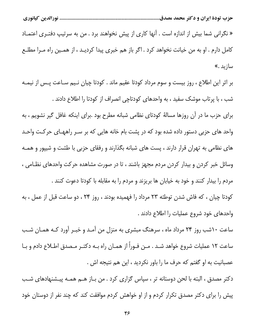« نگرانی شما بیش از اندازه است . آنها کاری از پیش نخواهند برد . من به سرتیپ دفتـری اعتمـاد كامل دارم . او به من خيانت نخواهد كرد . اگر باز هم خبرى پيدا كرديـد ، از همـين راه مـرا مطلـع سازىد.»

بر اثر این اطلاع ، روز بیست و سوم مرداد کودتا عقیم ماند . کودتا چیان نـیم سـاعت پـس از نیمـه شب ، با پرتاب موشک سفید ، به واحدهای کودتاچی انصراف از کودتا را اطلاع دادند . برای حزب ما در آن روزها مسالهٔ کودتای نظامی شبانه مطرح بود .برای اینکه غافل گیر نشویم ، به واحد های حزبی دستور داده شده بود که در پشت بام خانه هایی که بر سـر راههـای حرکـت واحـد های نظامی به تهران قرار دارند ، پست های شبانه بگذارند و رفقای حزبی با طشت و شیپور و همـه وسائل خبر کردن و بیدار کردن مردم مجهز باشند ، تا در صورت مشاهده حرکت واحدهای نظـامی ، مردم را بیدار کنند و خود به خیابان ها بریزند و مردم را به مقابله با کودتا دعوت کنند . کودتا چیان ، که فاش شدن توطئه ۲۳ مرداد را فهمیده بودند ، روز ۲۴ ، دو ساعت قبل از عمل ، به واحدهای خود شروع عملیات را اطلاع دادند .

ساعت ۱۰شب روز ۲۴ مرداد ماه ، سرهنگ مبشری به منزل من آمـد و خبـر آورد کـه همـان شـب ساعت ١٢ عمليات شروع خواهد شـد . مـن فـوراً از همـان راه بـه دكتـر مـصدق اطـلاع دادم و بـا عصبانیت به او گفتم که حرف ما را باور نکردید ، این هم نتیجه اش .

دكتر مصدق ، البته با لحن دوستانه تر ، سپاس گزارى كرد . من بـاز هـم همـه پيـشنهادهاى شـب پیش را برای دکتر مصدق تکرار کردم و از او خواهش کردم موافقت کند که چند نفر از دوستان خود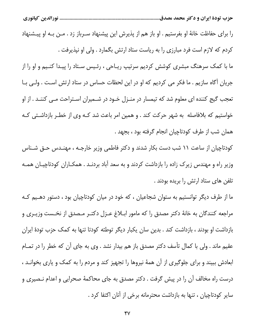را برای حفاظت خانهٔ او بفرستیم . او باز هم از پذیرش این پیشنهاد سـرباز زد . مـن بـه او پیـشنهاد كردم كه لازم است فرد مبارزي را به رياست ستاد ارتش بگمارد . ولي او نپذيرفت . ما با کمک سرهنگ مبشری کوشش کردیم سرتیپ ریـاحی ، رئـیس سـتاد را پیـدا کنـیم و او را از جریان آگاه سازیم . ما فکر می کردیم که او در این لحظات حساس در ستاد ارتش است . ولـی بـا تعجب گیج کننده ای معلوم شد که تیمسار در منـزل خـود در شـمیران اسـتراحت مـی کننـد . از او خواستیم که بلافاصله به شهر حرکت کند . و همین امر باعث شد کـه وی از خطـر بازداشـتی کـه همان شب از طرف كودتاچيان انجام گرفته بود ، بجهد .

کودتاچیان از ساعت ۱۱ شب دست بکار شدند و دکتر فاطمی وزیر خارجـه ، مهنـدس حـق شـناس وزیر راه و مهندس زیرک زاده را بازداشت کردند و به سعد آباد بردنـد . همکـاران کودتاچیـان همـه تلفن های ستاد ارتش را بریده بودند .

ما از طرف دیگر توانستیم به ستوان شجاعیان ، که خود در میان کودتاچیان بود ، دستور دهـیم کـه مراجعه كنندگان به خانهٔ دكتر مصدق را كه مامور ابـلاغ عـزل دكتـر مـصدق از نخـست وزيـرى و بازداشت او بودند ، بازداشت کند . بدین سان یکبار دیگر توطئه کودتا تنها به کمک حزب تودهٔ ایران عقیم ماند . ولی با کمال تأسف دکتر مصدق باز هم بیدار نشد . وی به جای آن که خطر را در تمــام ابعادش ببیند و برای جلوگیری از آن همهٔ نیروها را تجهیز کند و مردم را به کمک و یاری بخوانـد ، درست راه مخالف آن را در پیش گرفت . دکتر مصدق به جای محاکمهٔ صحرایی و اعدام نـصیری و سایر کودتاچیان ، تنها به بازداشت محترمانه برخی از آنان اکتفا کرد .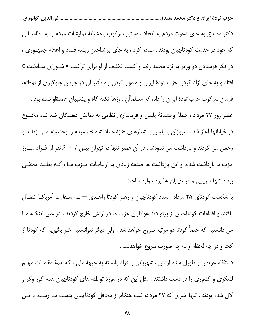دکتر مصدق به جای دعوت مردم به اتحاد ، دستور سرکوب وحشیانهٔ نمایشات مردم را به نظامیــانی که خود در خدمت کودتاچیان بودند ، صادر کرد ، به جای برانداختن ریشهٔ فساد و اعلام جمهـوری ، در فکر فرستادن دو وزیر به نزد محمد رضا و کسب تکلیف از او برای ترکیب « شـورای سـلطنت » افتاد و به جای آزاد کردن حزب تودهٔ ایران و هموار کردن راه تأثیر آن در جریان جلوگیری از توطئه، فرمان سرکوب حزب تودهٔ ایران را داد، که مسلماًآن روزها تکیه گاه و پشتیبان عمدهٔاو شده بود . عصر روز ٢٧ مرداد ، حملهٔ وحشیانهٔ پلیس و فرمانداری نظامی به نمایش دهندگان ضد شاه مخلـوع در خیابانها آغاز شد . سربازان و پلیس با شعارهای « زنده باد شاه » ، مردم را وحشیانه مــی زدنــد و زخمی می کردند و بازداشت می نمودند . در آن عصر تنها در تهران بیش از ۶۰۰ نفر از افـراد مبـارز حزب ما بازداشت شدند و این بازداشت ها صدمه زیادی به ارتباطات حـزب مـا ، کـه بعلـت مخفـی بودن تنها سرپایی و در خیابان ها بود ، وارد ساخت .

با شکست کودتای ۲۵ مرداد ، ستاد کودتاچیان و رهبر کودتا زاهـدی — بـه سـفارت آمریکـا انتقـال یافتند و اقدامات کودتاچیان از پرتو دید هواداران حزب ما در ارتش خارج گردید . در عین اینکـه مـا می دانستیم که حتماً کودتا دو مرتبه شروع خواهد شد ، ولی دیگر نتوانستیم خبر بگیریم که کودتا از كجا و در چه لحظه و به چه صورت شروع خواهدشد .

دستگاه عریض و طویل ستاد ارتش ، شهربانی و افراد وابسته به جبههٔ ملی ، که همهٔ مقامـات مهـم لشکری و کشوری را در دست داشتند ، مثل این که در مورد توطئه های کودتاچیان همه کور وکر و لال شده بودند . تنها خبری که ۲۷ مرداد، شب هنگام از محافل کودتاچیان بدست مـا رسـید ، ایـن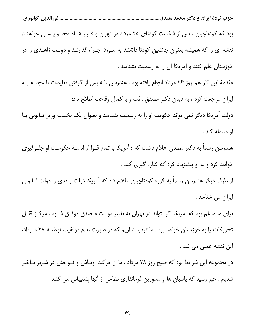بود که کودتاچیان ، پس از شکست کودتای ۲۵ مرداد در تهران و فـرار شـاه مخلـوع ،مـی خواهنـد نقشه ای را که همیشه بعنوان جانشین کودتا داشتند به مـورد اجـراء گذارنـد و دولـت زاهـدی را در خوزستان علم کنند و آمریکا آن را به رسمیت بشناسد .

مقدمهٔ این کار هم روز ۲۶ مرداد انجام یافته بود . هندرسن ،که پس از گرفتن تعلیمات با عجلـه بـه ایران مراجعت کرد ، به دیدن دکتر مصدق رفت و با کمال وقاحت اطلاع داد: دولت آمریکا دیگر نمی تواند حکومت او را به رسمیت بشناسد و بعنوان یک نخست وزیر قـانونی بـا او معامله كند.

هندرسن رسماً به دکتر مصدق اعلام داشت که : آمریکا با تمام قــوا از ادامــهٔ حکومـت او جلــوگیری خواهد کرد و به او پیشنهاد کرد که کناره گیری کند .

از طرف دیگر هندرسن رسماً به گروه کودتاچیان اطلاع داد که آمریکا دولت زاهدی را دولت قــانونی ایران می شناسد .

برای ما مسلم بود که آمریکا اگر نتواند در تهران به تغییر دولت مـصدق موفـق شـود ، مرکـز ثقـل تحریکات را به خوزستان خواهد برد . ما تردید نداریم که در صورت عدم موفقیت توطئـه ٢٨ مـرداد، این نقشه عملی می شد .

در مجموعه این شرایط بود که صبح روز ۲۸ مرداد ، ما از حرکت اوبـاش و فـواحش در شـهر بـاخبر شدیم . خبر رسید که پاسبان ها و مامورین فرمانداری نظامی از آنها پشتیبانی می کنند .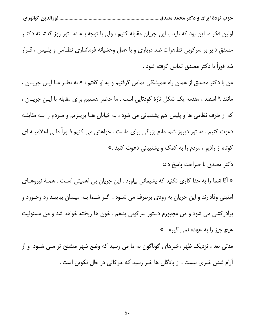اولین فکر ما این بود که باید با این جریان مقابله کنیم ، ولی با توجه بـه دسـتور روز گذشـته دکتـر مصدق دایر بر سرکوبی تظاهرات ضد درباری و با عمل وحشیانه فرمانداری نظـامی و پلـیس ، قــرار شد فوراً با دکتر مصدق تماس گرفته شود .

من با دکتر مصدق از همان راه همیشگی تماس گرفتیم و به او گفتم : « به نظـر مـا ایـن جریـان ، مانند ۹ اسفند ، مقدمه یک شکل تازهٔ کودتایی است . ما حاضر هستیم برای مقابله با ایـن جریـان ، که از طرف نظامی ها و پلیس هم پشتیبانی می شود ، به خیابان هـا بریـزیم و مـردم را بـه مقابلـه دعوت کنیم . دستور دیروز شما مانع بزرگی برای ماست . خواهش می کنیم فـوراً طـی اعلامیـه ای کوتاه از رادیو ، مردم را به کمک و پشتیبانی دعوت کنید .»

دكتر مصدق با صراحت پاسخ داد:

« آقا شما را به خدا کاری نکنید که پشیمانی بیاورد . این جریان بی اهمیتی است . همـهٔ نیروهـای امنیتی وفادارند و این جریان به زودی برطرف می شـود . اگـر شـما بـه میـدان بیاییـد زد وخـورد و برادرکشی می شود و من مجبورم دستور سرکوبی بدهم . خون ها ریخته خواهد شد و من مسئولیت هيچ چيز را به عهده نمي گيرم . »

مدتی بعد ، نزدیک ظهر ،خبرهای گوناگون به ما می رسید که وضع شهر متشنج تر مـی شـود و از آرام شدن خبری نیست . از پادگان ها خبر رسید که حرکاتی در حال تکوین است .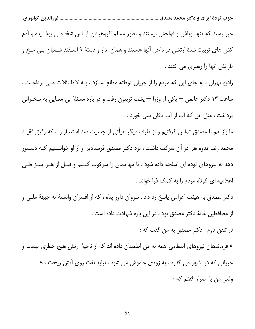خبر رسید که تنها اوباش و فواحش نیستند و بطور مسلم گروهبانان لبـاس شخـصی پوشـیده و آدم کش های تربیت شدهٔ ارتشی در داخل آنها هستند و همان ِ دار و دستهٔ ۹ اسـفند شـعبان بـی مـخ و یارانش آنها را رهبری می کنند .

رادیو تهران ، به جای این که مردم را از جریان توطئه مطلع ســازد ، بــه لاطــائلات مــی پرداخــت . ساعت ١٣ دكتر عالمي — يكي از وزرا — پشت تربيون رفت و در باره مسئلهٔ بي معنايي به سخنراني پرداخت ، مثل این که آب از آب تکان نمی خورد .

ما باز هم با مصدق تماس گرفتیم و از طرف دیگر هیأتی از جمعیت ضد استعمار را ، که رفیق فقیـد محمد رضا قدوه هم در آن شرکت داشت ، نزد دکتر مصدق فرستادیم و از او خواسـتیم کـه دسـتور دهد به نیروهای توده ای اسلحه داده شود ، تا مهاجمان را سرکوب کنـیم و قبـل از هـر چیـز طـی اعلامیه ای کوتاه مردم را به کمک فرا خواند .

دکتر مصدق به هیئت اعزامی پاسخ رد داد . سروان داور پناه ، که از افسران وابستهٔ به جبههٔ ملـی و از محافظین خانهٔ دکتر مصدق بود ، در این باره شهادت داده است .

در تلفن دوم ، دكتر مصدق به من گفت كه :

« فرماندهان نیروهای انتظامی همه به من اطمینان داده اند که از ناحیهٔ ارتش هیچ خطری نیست و جریانی که در شهر می گذرد ، به زودی خاموش می شود . نباید نفت روی آتش ریخت . » وقتي من با اصرار گفتم كه :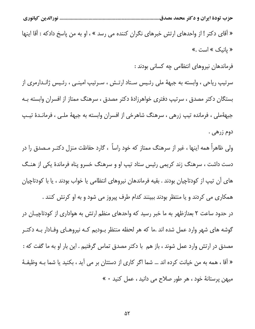....................... نورالدين كيانوري

« أقاى دكتر ! از واحدهاى ارتش خبرهاى نگران كننده مى رسد » ، او به من پاسخ دادكه : أقا اينها « يانيک » است .»

فرماندهان نيروهاي انتظامى چه كسانى بودند :

سرتیپ ریاحی ، وابسته به جبههٔ ملی رئـیس سـتاد ارتـش ، سـرتیپ امینــی ، رئـیس ژانـدارمری از بستگان دکتر مصدق ، سرتیپ دفتری خواهرزادهٔ دکتر مصدق ، سرهنگ ممتاز از افسران وابسته بـه جبههٔملی ، فرمانده تیپ زرهی ، سرهنگ شاهرخی از افسران وابسته به جبههٔ ملـی ، فرمانـدهٔ تیـپ دوم زرهي .

ولی ظاهراً همه اینها ، غیر از سرهنگ ممتاز که خود راساً ، گارد حفاظت منزل دکتـر مـصدق را در دست داشت ، سرهنگ زند کریمی رئیس ستاد تیپ او و سرهنگ خسرو پناه فرماندهٔ یکی از هنگ های آن تیپ از کودتاچیان بودند . بقیه فرماندهان نیروهای انتظامی یا خواب بودند ، یا با کودتاچیان همکاری می کردند و یا منتظر بودند ببینند کدام طرف پیروز می شود و به او کرنش کنند .

در حدود ساعت ۲ بعدازظهر به ما خبر رسید که واحدهای منظم ارتش به هواداری از کودتاچیـان در گوشه های شهر وارد عمل شده اند .ما که هر لحظه منتظر بــودیم کــه نیروهــای وفــادار بــه دکتــر مصدق در ارتش وارد عمل شوند ، باز هم با دكتر مصدق تماس گرفتيم . اين بار او به ما گفت كه : « آقا ، همه به من خيانت كرده اند … شما اگر كارى از دستتان بر مى آيد ، بكنيد يا شما بــه وظيفــهٔ میهن پرستانهٔ خود ، هر طور صلاح می دانید ، عمل کنید ۰ »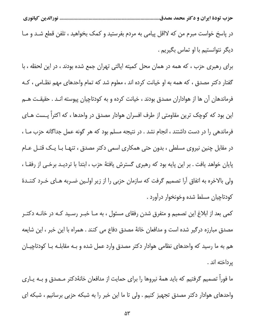در پاسخ خواست مبرم من که لااقل پیامی به مردم بفرستید و کمک بخواهید ، تلفن قطع شـد و مـا دیگر نتوانستیم با او تماس بگیریم .

برای رهبری حزب ، که همه در همان محل کمیته ایالتی تهران جمع شده بودند ، در این لحظه ، با گفتار دکتر مصدق ، که همه به او خیانت کرده اند ، معلوم شد که تمام واحدهای مهم نظـامی ، کـه فرماندهان آن ها از هواداران مصدق بودند ، خیانت کرده و به کودتاچیان پیوسته انـد . حقیقـت هـم این بود که کوچک ترین مقاومتی از طرف افسران هوادار مصدق در واحدها ، که اکثراً پــست هــای فرماندهی را در دست داشتند ، انجام نشد . در نتیجه مسلم بود که هر گونه عمل جداگانه حزب مـا ، در مقابل چنین نیروی مسلطی ، بدون حتی همکاری اسمی دکتر مصدق ، تنهـا بـا یـک قتـل عـام پایان خواهد یافت . بر این پایه بود که رهبری گسترش یافتهٔ حزب ، ابتدا با تردیـد برخـی از رفقـا ، ولی بالاخره به اتفاق آرا تصمیم گرفت که سازمان حزبی را از زیر اولین ضـربه هـای خـرد کننـدهٔ كودتاچيان مسلط شده وخونخوار درآورد .

کمی بعد از ابلاغ این تصمیم و متفرق شدن رفقای مسئول ، به مـا خبـر رسـید کـه در خانـه دکتـر مصدق مبارزه درگیر شده است و مدافعان خانهٔ مصدق دفاع می کنند . همراه با این خبر ، این شایعه هم به ما رسید که واحدهای نظامی هوادار دکتر مصدق وارد عمل شده و بـه مقابلـه بـا کودتاچیـان يرداخته اند .

ما فوراً تصمیم گرفتیم که باید همهٔ نیروها را برای حمایت از مدافعان خانهٔدکتر مـصدق و بــه یــاری واحدهای هوادار دکتر مصدق تجهیز کنیم . ولی تا ما این خبر را به شبکه حزبی برسانیم ، شبکه ای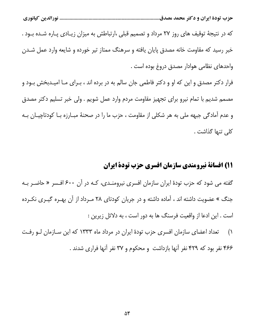که در نتیجهٔ توقیف های روز ۲۷ مرداد و تصمیم قبلی ،ارتباطش به میزان زیـادی پـاره شـده بـود . خبر رسید که مقاومت خانه مصدق پایان یافته و سرهنگ ممتاز تیر خورده و شایعه وارد عمل شــدن واحدهاى نظامى هوادار مصدق دروغ بوده است .

فرار دکتر مصدق و این که او و دکتر فاطمی جان سالم به در برده اند ، بـرای مـا امیـدبخش بـود و مصمم شديم با تمام نيرو براي تجهيز مقاومت مردم وارد عمل شويم . ولي خبر تسليم دكتر مصدق و عدم آمادگی جبهه ملی به هر شکلی از مقاومت ، حزب ما را در صحنهٔ مبـارزه بـا کودتاچیـان بـه كلى تنها گذاشت .

#### 11) افسانة نيرومندي سازمان افسري حزب تودة ايران

گفته می شود که حزب تودهٔ ایران سازمان افسری نیرومنـدی، کـه در آن ۶۰۰ افـسر « حاضـر بـه جنگ » عضویت داشته اند ، آماده داشته و در جریان کودتای ۲۸ مـرداد از آن بهـره گیـری نکـرده است . این ادعا از واقعیت فرسنگ ها به دور است ، به دلائل زیرین :

تعداد اعضای سازمان افسری حزب تودهٔ ایران در مرداد ماه ۱۳۳۳ که این سـازمان لـو رفت  $\bigwedge$ ۴۶۶ نفر بود که ۴۲۹ نفر آنها بازداشت و محکوم و ۳۷ نفر آنها فراری شدند .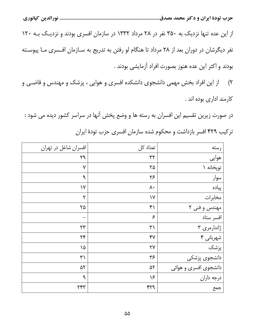از این عده تنها نزدیک به ۳۵۰ نفر در ۲۸ مرداد ۱۳۳۲ در سازمان افسری بودند و نزدیک بـه ۱۲۰ نفر دیگرشان در دوران بعد از ۲۸ مرداد تا هنگام لو رفتن به تدریج به سـازمان افـسری مـا پیوسـته بودند و اکثر این عده هنوز بصورت افراد آزمایشی بودند .

از این افراد بخش مهمی دانشجوی دانشکده افسری و هوایی ، پزشک و مهندس و قاضـی و  $(\mathsf{r})$ كارمند ادارى بوده اند .

در صورت زیرین تقسیم این افسران به رسته ها و وضع پخش آنها در سراسر کشور دیده می شود : ترکیب ۴۲۹ افسر بازداشت و محکوم شده سازمان افسری حزب تودهٔ ایران

| افسران شاغل در تهران    | تعداد کل           | رسته                  |
|-------------------------|--------------------|-----------------------|
| ٢٩                      | $\tau$             | هوايي                 |
| ٧                       | ٢۵                 | توپخانه ۱             |
| ٩                       | $\mathbf{y}$       | سوار                  |
| $\gamma$                | ٨٠                 | پیاده                 |
| $\mathsf{r}$            | $\mathsf{V}$       | مخابرات               |
| ۲۵                      | $\mathfrak{f}$     | مهندس و فنی ۲         |
|                         | $\epsilon$         | افسر ستاد             |
| $\mathsf{Y} \mathsf{Y}$ | $\uparrow\uparrow$ | ژاندارمری ۳           |
| $\mathbf{Y}^e$          | $Y^{\gamma}$       | شهربانی ۴             |
| ١۵                      | $\gamma\gamma$     | پزشک                  |
| $\uparrow\uparrow$      | ٣۶                 | دانشجوی پزشکی         |
| ۵۲                      | ۵٢                 | دانشجوی افسری و هوائی |
| ٩                       | ۱۶                 | درجه داران            |
| ٢۴٣                     | ۴۲۹                | جمع                   |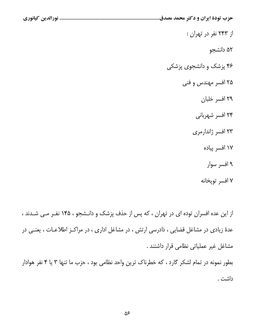از ۲۴۳ نفر در تهران : ۵۲ دانشجو ۴۶ پزشک و دانشجوی پزشکی ۲۵ افسر مهندس و فنی ٢٩ افسر خلبان ۲۴ افسر شهربانی ۲۳ افسر ژاندارمری ۱۷ افسر پیاده ۹ افسر سوار ٧ افسر تويخانه

از این عده افسران توده ای در تهران ، که پس از حذف پزشک و دانـشجو ، ۱۴۵ نفـر مـی شـدند ، عدهٔ زیادی در مشاغل قضایی ، دادرسی ارتش ، در مشاغل اداری ، در مراکـز اطلاعـات ، یعنـی در مشاغل غیر عملیاتی نظامی قرار داشتند.

بطور نمونه در تمام لشکر گارد ، که خطرناک ترین واحد نظامی بود ، حزب ما تنها ۳ یا ۴ نفر هوادار داشت .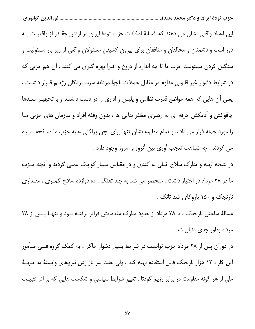این اعداد واقعی نشان می دهند که افسانهٔ امکانات حزب تودهٔ ایران در ارتش چقـدر از واقعیـت بـه دور است و دشمنان و مخالفان و منافقان برای بیرون کشیدن مسئولان واقعی از زیر بار مسئولیت و سنگین کردن مسئولیت حزب ما تا چه اندازه از دروغ و افترا بهره گیری می کنند ، آن هم حزبی که در شرایط دشوار غیر قانونی مداوم در مقابل حملات ناجوانمردانه سرسـپردگان رژیــم قــرار داشــت ، یعنی آن هایی که همه مواضع قدرت نظامی و پلیس و اداری را در دست داشتند و با تجهیـز صـدها چاقوکش و آدمکش حرفه ای به رهبری مظفر بقایی ها ، بدون وقفه افراد و سازمان های حزبی مـا را مورد حمله قرار می دادند و تمام مطبوعاتشان تنها برای لجن پراکنی علیه حزب ما صـفحه سـیاه می کردند . چه شباهت تعجب آوری بین آنروز و امروز وجود دارد .

در نتیجه تهیه و تدارک سلاح خیلی به کندی و در مقیاس بسیار کوچک عملی گردید و آنچه حـزب ما در ۲۸ مرداد در اختیار داشت ، منحصر می شد به چند تفنگ ، ده دوازده سلاح کمـری ، مقـداری نارنجک و ۱۵۰ بازوکای ضد تانک .

مسالهٔ ساختن نارنجک ، تا ۲۸ مرداد از حدود تدارک مقدماتش فراتر نرفتـه بــود و تنهــا پــس از ۲۸ مرداد بطور جدی دنبال شد .

در دوران پس از ۲۸ مرداد حزب توانست در شرایط بسیار دشوار حاکم ، به کمک گروه فنـی مـأمور این کار ، ۱۲ هزار نارنجک قابل استفاده تهیه کند ، ولی بعلت سر باز زدن نیروهای وابستهٔ به جبهـهٔ ملی از هر گونه مقاومت در برابر رژیم کودتا ، تغییر شرایط سیاسی و شکست هایی که بر اثر تثبیت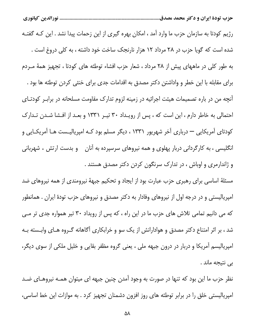رژیم کودتا به سازمان حزب ما وارد آمد ، امکان بهره گیری از این زحمات پیدا نشد . این کـه گفتـه شده است که گویا حزب در ۲۸ مرداد ۱۲ هزار نارنجک ساخت خود داشته ، به کلی دروغ است . به طور کلی در ماههای پیش از ۲۸ مرداد ، شعار حزب افشاء توطئه های کودتا ، تجهیز همهٔ مـردم برای مقابله با این خطر و واداشتن دکتر مصدق به اقدامات جدی برای خنثی کردن توطئه ها بود . آنچه من در باره تصمیمات هیئت اجرائیه در زمینه لزوم تدارک مقاومت مسلحانه در برابـر کودتـای احتمالی به خاطر دارم ، این است که ، پس از رویـداد ۳۰ تیـر ۱۳۳۱ و بعـد از افـشا شـدن تـدارک کودتای آمریکایی — درباری آخر شهریور ۱۳۳۱ ، دیگر مسلم بود کـه امپریالیـست هـا آمریکـایی و انگلیسی ، به کارگردانی دربار پهلوی و همه نیروهای سرسپرده به آنان \_ و بدست ارتش ، شهربانی و ژاندارمری و اوباش ، در تدارک سرنگون کردن دکتر مصدق هستند .

مسئلهٔ اساسی برای رهبری حزب عبارت بود از ایجاد و تحکیم جبههٔ نیرومندی از همه نیروهای ضد امپریالیستی و در درجه اول از نیروهای وفادار به دکتر مصدق و نیروهای حزب تودهٔ ایران . همانطور که می دانیم تمامی تلاش های حزب ما در این راه ، که پس از رویداد ۳۰ تیر همواره جدی تر مـی شد ، بر اثر امتناع دکتر مصدق و هوادارانش از یک سو و خرابکاری آگاهانه گـروه هـای وابـسته بـه امپریالیسم آمریکا و دربار در درون جبهه ملی ، یعنی گروه مظفر بقایی و خلیل ملکی از سوی دیگر، بے نتیجه ماند .

نظر حزب ما این بود که تنها در صورت به وجود آمدن چنین جبهه ای میتوان همـه نیروهـای ضـد امپریالیستی خلق را در برابر توطئه های روز افزون دشمنان تجهیز کرد . به موازات این خط اساسی،